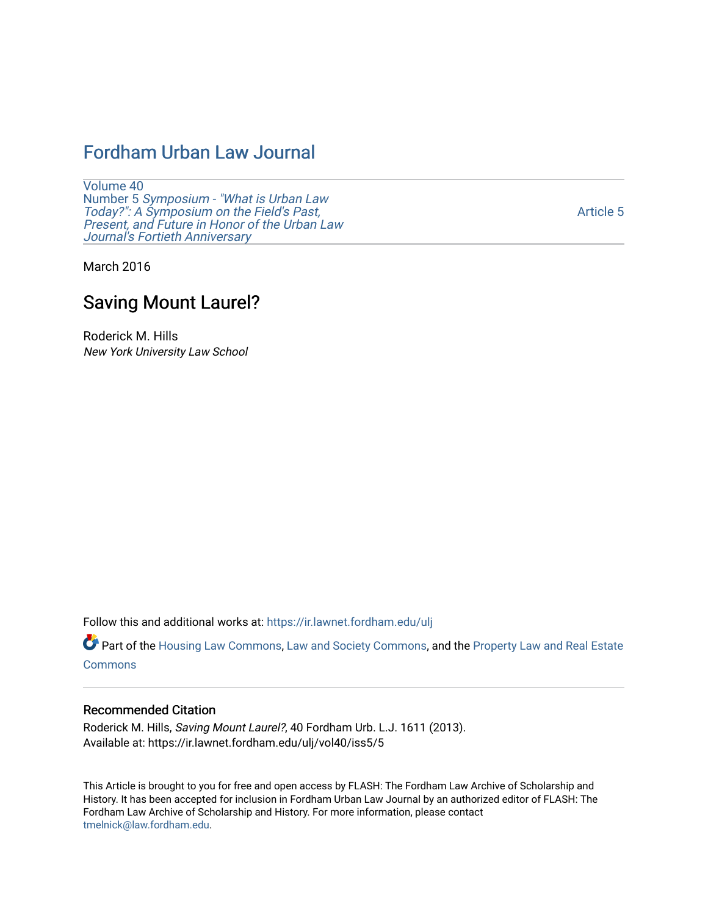# [Fordham Urban Law Journal](https://ir.lawnet.fordham.edu/ulj)

[Volume 40](https://ir.lawnet.fordham.edu/ulj/vol40) Number 5 [Symposium - "What is Urban Law](https://ir.lawnet.fordham.edu/ulj/vol40/iss5)  [Today?": A Symposium on the Field's Past,](https://ir.lawnet.fordham.edu/ulj/vol40/iss5) [Present, and Future in Honor of the Urban Law](https://ir.lawnet.fordham.edu/ulj/vol40/iss5)  [Journal's Fortieth Anniversary](https://ir.lawnet.fordham.edu/ulj/vol40/iss5) 

[Article 5](https://ir.lawnet.fordham.edu/ulj/vol40/iss5/5) 

March 2016

# Saving Mount Laurel?

Roderick M. Hills New York University Law School

Follow this and additional works at: [https://ir.lawnet.fordham.edu/ulj](https://ir.lawnet.fordham.edu/ulj?utm_source=ir.lawnet.fordham.edu%2Fulj%2Fvol40%2Fiss5%2F5&utm_medium=PDF&utm_campaign=PDFCoverPages) 

Part of the [Housing Law Commons,](http://network.bepress.com/hgg/discipline/846?utm_source=ir.lawnet.fordham.edu%2Fulj%2Fvol40%2Fiss5%2F5&utm_medium=PDF&utm_campaign=PDFCoverPages) [Law and Society Commons](http://network.bepress.com/hgg/discipline/853?utm_source=ir.lawnet.fordham.edu%2Fulj%2Fvol40%2Fiss5%2F5&utm_medium=PDF&utm_campaign=PDFCoverPages), and the [Property Law and Real Estate](http://network.bepress.com/hgg/discipline/897?utm_source=ir.lawnet.fordham.edu%2Fulj%2Fvol40%2Fiss5%2F5&utm_medium=PDF&utm_campaign=PDFCoverPages) [Commons](http://network.bepress.com/hgg/discipline/897?utm_source=ir.lawnet.fordham.edu%2Fulj%2Fvol40%2Fiss5%2F5&utm_medium=PDF&utm_campaign=PDFCoverPages)

#### Recommended Citation

Roderick M. Hills, Saving Mount Laurel?, 40 Fordham Urb. L.J. 1611 (2013). Available at: https://ir.lawnet.fordham.edu/ulj/vol40/iss5/5

This Article is brought to you for free and open access by FLASH: The Fordham Law Archive of Scholarship and History. It has been accepted for inclusion in Fordham Urban Law Journal by an authorized editor of FLASH: The Fordham Law Archive of Scholarship and History. For more information, please contact [tmelnick@law.fordham.edu](mailto:tmelnick@law.fordham.edu).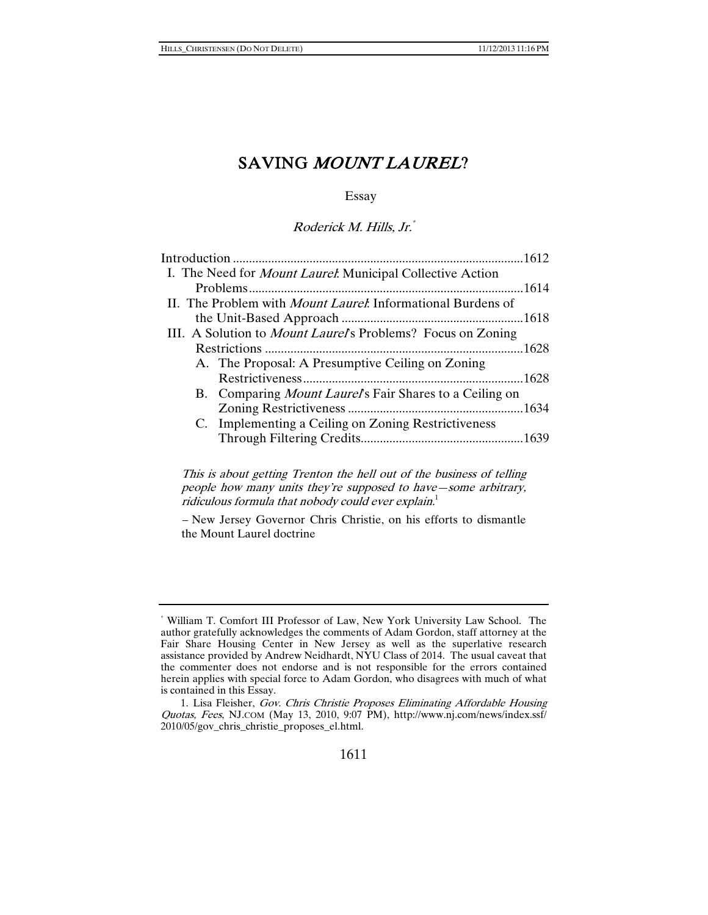Essay

Roderick M. Hills, Jr.\*

|                                                                     | .1612 |
|---------------------------------------------------------------------|-------|
| I. The Need for <i>Mount Laurel</i> : Municipal Collective Action   |       |
|                                                                     |       |
| II. The Problem with <i>Mount Laurel</i> : Informational Burdens of |       |
|                                                                     |       |
| III. A Solution to <i>Mount Laurel's</i> Problems? Focus on Zoning  |       |
|                                                                     |       |
| A. The Proposal: A Presumptive Ceiling on Zoning                    |       |
|                                                                     | 1628  |
| B. Comparing <i>Mount Laurel's</i> Fair Shares to a Ceiling on      |       |
|                                                                     |       |
| C. Implementing a Ceiling on Zoning Restrictiveness                 |       |
|                                                                     |       |
|                                                                     |       |

This is about getting Trenton the hell out of the business of telling people how many units they're supposed to have—some arbitrary, ridiculous formula that nobody could ever  $explain<sup>1</sup>$ 

– New Jersey Governor Chris Christie, on his efforts to dismantle the Mount Laurel doctrine

<sup>\*</sup> William T. Comfort III Professor of Law, New York University Law School. The author gratefully acknowledges the comments of Adam Gordon, staff attorney at the Fair Share Housing Center in New Jersey as well as the superlative research assistance provided by Andrew Neidhardt, NYU Class of 2014. The usual caveat that the commenter does not endorse and is not responsible for the errors contained herein applies with special force to Adam Gordon, who disagrees with much of what is contained in this Essay.

 <sup>1.</sup> Lisa Fleisher, Gov. Chris Christie Proposes Eliminating Affordable Housing Quotas, Fees, NJ.COM (May 13, 2010, 9:07 PM), http://www.nj.com/news/index.ssf/ 2010/05/gov\_chris\_christie\_proposes\_el.html.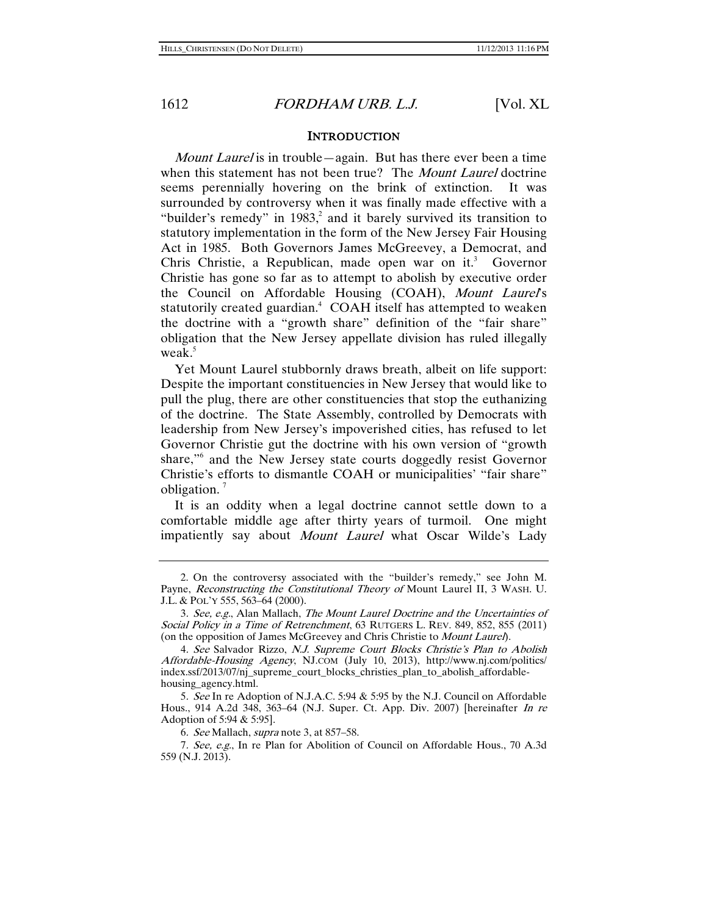#### **INTRODUCTION**

Mount Laurel is in trouble—again. But has there ever been a time when this statement has not been true? The Mount Laurel doctrine seems perennially hovering on the brink of extinction. It was surrounded by controversy when it was finally made effective with a "builder's remedy" in  $1983$ , and it barely survived its transition to statutory implementation in the form of the New Jersey Fair Housing Act in 1985. Both Governors James McGreevey, a Democrat, and Chris Christie, a Republican, made open war on it.<sup>3</sup> Governor Christie has gone so far as to attempt to abolish by executive order the Council on Affordable Housing (COAH), Mount Laurel's statutorily created guardian.<sup>4</sup> COAH itself has attempted to weaken the doctrine with a "growth share" definition of the "fair share" obligation that the New Jersey appellate division has ruled illegally weak. $5$ 

Yet Mount Laurel stubbornly draws breath, albeit on life support: Despite the important constituencies in New Jersey that would like to pull the plug, there are other constituencies that stop the euthanizing of the doctrine. The State Assembly, controlled by Democrats with leadership from New Jersey's impoverished cities, has refused to let Governor Christie gut the doctrine with his own version of "growth share,"6 and the New Jersey state courts doggedly resist Governor Christie's efforts to dismantle COAH or municipalities' "fair share" obligation. $<sup>7</sup>$ </sup>

It is an oddity when a legal doctrine cannot settle down to a comfortable middle age after thirty years of turmoil. One might impatiently say about Mount Laurel what Oscar Wilde's Lady

 <sup>2.</sup> On the controversy associated with the "builder's remedy," see John M. Payne, Reconstructing the Constitutional Theory of Mount Laurel II, 3 WASH. U. J.L. & POL'Y 555, 563–64 (2000).

<sup>3.</sup> See, e.g., Alan Mallach, The Mount Laurel Doctrine and the Uncertainties of Social Policy in a Time of Retrenchment, 63 RUTGERS L. REV. 849, 852, 855 (2011) (on the opposition of James McGreevey and Chris Christie to *Mount Laurel*).

<sup>4.</sup> See Salvador Rizzo, N.J. Supreme Court Blocks Christie's Plan to Abolish Affordable-Housing Agency, NJ.COM (July 10, 2013), http://www.nj.com/politics/ index.ssf/2013/07/nj\_supreme\_court\_blocks\_christies\_plan\_to\_abolish\_affordablehousing\_agency.html.

<sup>5</sup>. See In re Adoption of N.J.A.C. 5:94 & 5:95 by the N.J. Council on Affordable Hous., 914 A.2d 348, 363–64 (N.J. Super. Ct. App. Div. 2007) [hereinafter In re Adoption of 5:94 & 5:95].

<sup>6</sup>. See Mallach, supra note 3, at 857–58.

<sup>7</sup>. See, e.g., In re Plan for Abolition of Council on Affordable Hous., 70 A.3d 559 (N.J. 2013).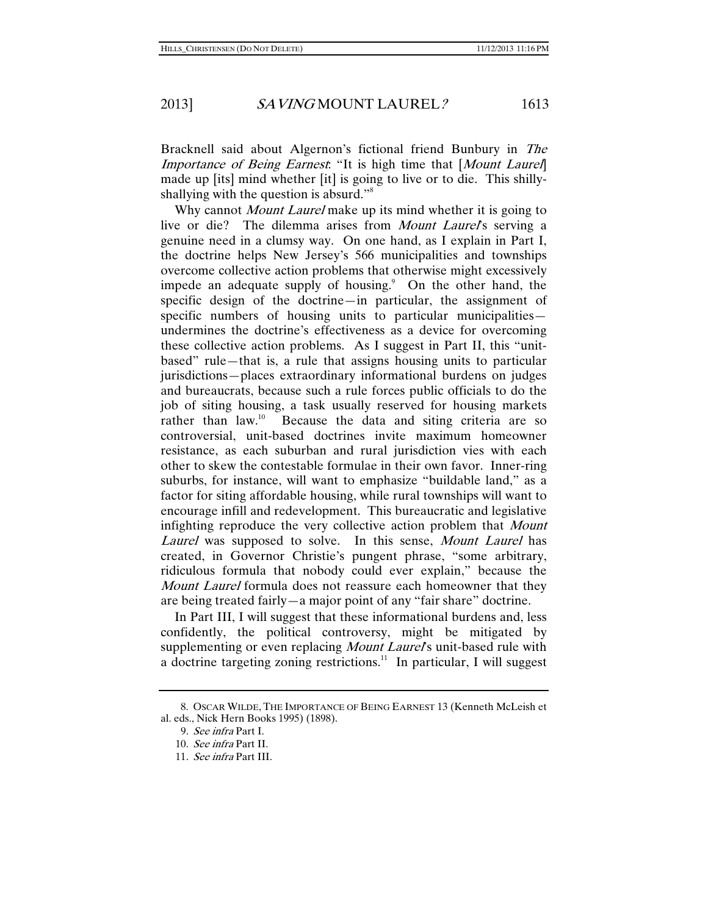Bracknell said about Algernon's fictional friend Bunbury in The Importance of Being Earnest. "It is high time that [Mount Laurel] made up [its] mind whether [it] is going to live or to die. This shillyshallying with the question is absurd."<sup>8</sup>

Why cannot *Mount Laurel* make up its mind whether it is going to live or die? The dilemma arises from *Mount Laurel's* serving a genuine need in a clumsy way. On one hand, as I explain in Part I, the doctrine helps New Jersey's 566 municipalities and townships overcome collective action problems that otherwise might excessively impede an adequate supply of housing.<sup>9</sup> On the other hand, the specific design of the doctrine—in particular, the assignment of specific numbers of housing units to particular municipalities undermines the doctrine's effectiveness as a device for overcoming these collective action problems. As I suggest in Part II, this "unitbased" rule—that is, a rule that assigns housing units to particular jurisdictions—places extraordinary informational burdens on judges and bureaucrats, because such a rule forces public officials to do the job of siting housing, a task usually reserved for housing markets rather than  $law$ <sup>10</sup> Because the data and siting criteria are so controversial, unit-based doctrines invite maximum homeowner resistance, as each suburban and rural jurisdiction vies with each other to skew the contestable formulae in their own favor. Inner-ring suburbs, for instance, will want to emphasize "buildable land," as a factor for siting affordable housing, while rural townships will want to encourage infill and redevelopment. This bureaucratic and legislative infighting reproduce the very collective action problem that *Mount* Laurel was supposed to solve. In this sense, *Mount Laurel* has created, in Governor Christie's pungent phrase, "some arbitrary, ridiculous formula that nobody could ever explain," because the Mount Laurel formula does not reassure each homeowner that they are being treated fairly—a major point of any "fair share" doctrine.

In Part III, I will suggest that these informational burdens and, less confidently, the political controversy, might be mitigated by supplementing or even replacing Mount Laurel's unit-based rule with a doctrine targeting zoning restrictions.<sup>11</sup> In particular, I will suggest

 <sup>8.</sup> OSCAR WILDE, THE IMPORTANCE OF BEING EARNEST 13 (Kenneth McLeish et al. eds., Nick Hern Books 1995) (1898).

<sup>9</sup>. See infra Part I.

<sup>10</sup>. See infra Part II.

<sup>11</sup>. See infra Part III.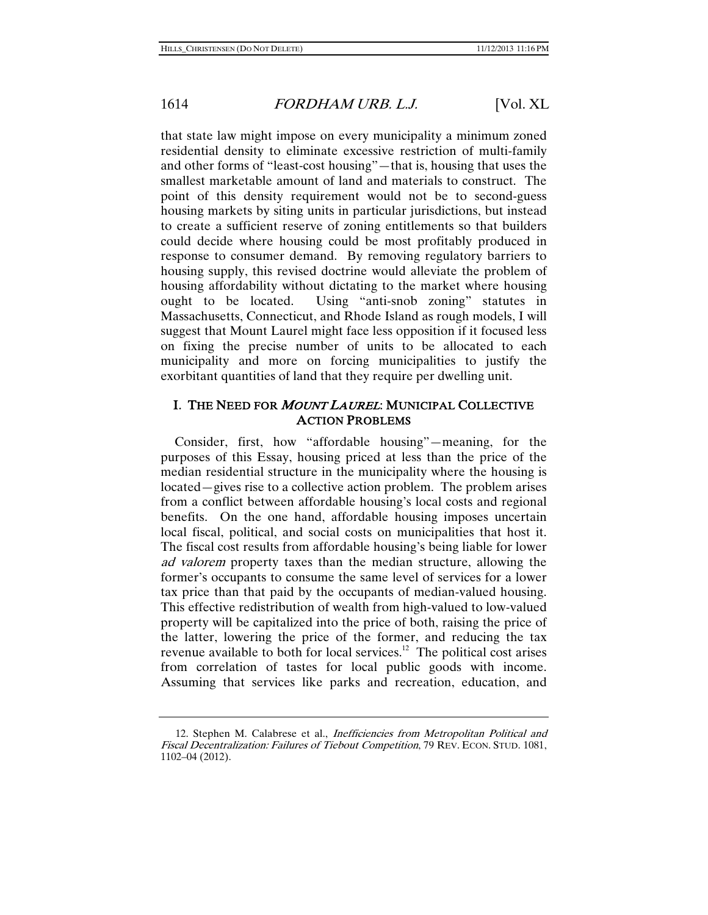that state law might impose on every municipality a minimum zoned residential density to eliminate excessive restriction of multi-family and other forms of "least-cost housing"—that is, housing that uses the smallest marketable amount of land and materials to construct. The point of this density requirement would not be to second-guess housing markets by siting units in particular jurisdictions, but instead to create a sufficient reserve of zoning entitlements so that builders could decide where housing could be most profitably produced in response to consumer demand. By removing regulatory barriers to housing supply, this revised doctrine would alleviate the problem of housing affordability without dictating to the market where housing ought to be located. Using "anti-snob zoning" statutes in Massachusetts, Connecticut, and Rhode Island as rough models, I will suggest that Mount Laurel might face less opposition if it focused less on fixing the precise number of units to be allocated to each municipality and more on forcing municipalities to justify the exorbitant quantities of land that they require per dwelling unit.

#### I. THE NEED FOR MOUNT LAUREL: MUNICIPAL COLLECTIVE ACTION PROBLEMS

Consider, first, how "affordable housing"—meaning, for the purposes of this Essay, housing priced at less than the price of the median residential structure in the municipality where the housing is located—gives rise to a collective action problem. The problem arises from a conflict between affordable housing's local costs and regional benefits. On the one hand, affordable housing imposes uncertain local fiscal, political, and social costs on municipalities that host it. The fiscal cost results from affordable housing's being liable for lower ad valorem property taxes than the median structure, allowing the former's occupants to consume the same level of services for a lower tax price than that paid by the occupants of median-valued housing. This effective redistribution of wealth from high-valued to low-valued property will be capitalized into the price of both, raising the price of the latter, lowering the price of the former, and reducing the tax revenue available to both for local services.12 The political cost arises from correlation of tastes for local public goods with income. Assuming that services like parks and recreation, education, and

<sup>12.</sup> Stephen M. Calabrese et al., Inefficiencies from Metropolitan Political and Fiscal Decentralization: Failures of Tiebout Competition, 79 REV. ECON. STUD. 1081, 1102–04 (2012).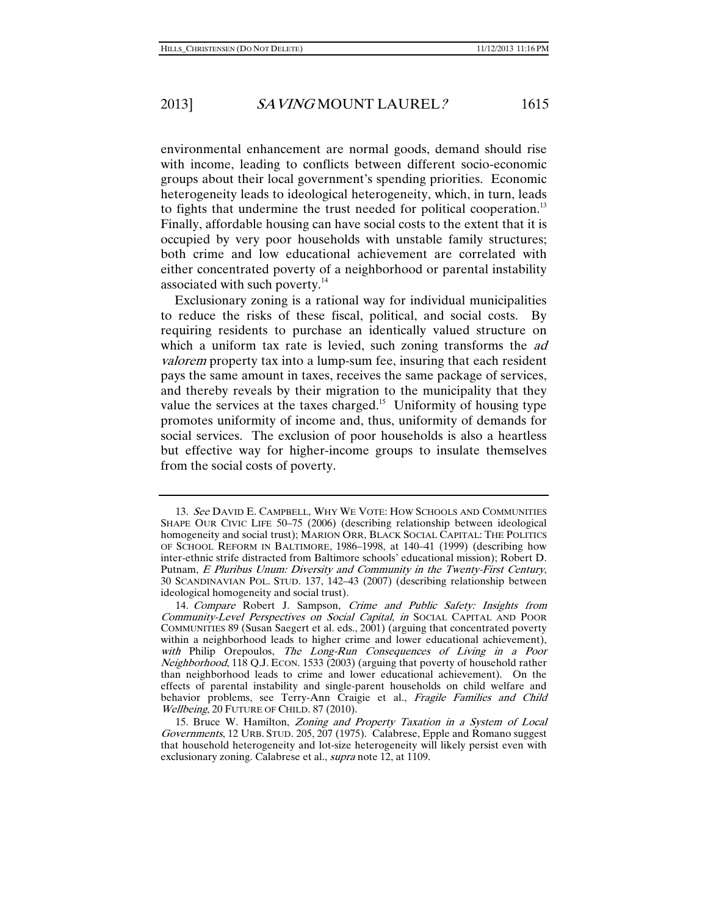environmental enhancement are normal goods, demand should rise with income, leading to conflicts between different socio-economic groups about their local government's spending priorities. Economic heterogeneity leads to ideological heterogeneity, which, in turn, leads to fights that undermine the trust needed for political cooperation.<sup>13</sup> Finally, affordable housing can have social costs to the extent that it is occupied by very poor households with unstable family structures; both crime and low educational achievement are correlated with either concentrated poverty of a neighborhood or parental instability associated with such poverty.<sup>14</sup>

Exclusionary zoning is a rational way for individual municipalities to reduce the risks of these fiscal, political, and social costs. By requiring residents to purchase an identically valued structure on which a uniform tax rate is levied, such zoning transforms the *ad* valorem property tax into a lump-sum fee, insuring that each resident pays the same amount in taxes, receives the same package of services, and thereby reveals by their migration to the municipality that they value the services at the taxes charged.<sup>15</sup> Uniformity of housing type promotes uniformity of income and, thus, uniformity of demands for social services. The exclusion of poor households is also a heartless but effective way for higher-income groups to insulate themselves from the social costs of poverty.

<sup>13</sup>. See DAVID E. CAMPBELL, WHY WE VOTE: HOW SCHOOLS AND COMMUNITIES SHAPE OUR CIVIC LIFE 50–75 (2006) (describing relationship between ideological homogeneity and social trust); MARION ORR, BLACK SOCIAL CAPITAL: THE POLITICS OF SCHOOL REFORM IN BALTIMORE, 1986–1998, at 140–41 (1999) (describing how inter-ethnic strife distracted from Baltimore schools' educational mission); Robert D. Putnam, E Pluribus Unum: Diversity and Community in the Twenty-First Century, 30 SCANDINAVIAN POL. STUD. 137, 142–43 (2007) (describing relationship between ideological homogeneity and social trust).

<sup>14.</sup> Compare Robert J. Sampson, Crime and Public Safety: Insights from Community-Level Perspectives on Social Capital, in SOCIAL CAPITAL AND POOR COMMUNITIES 89 (Susan Saegert et al. eds., 2001) (arguing that concentrated poverty within a neighborhood leads to higher crime and lower educational achievement), with Philip Orepoulos, The Long-Run Consequences of Living in a Poor Neighborhood, 118 Q.J. ECON. 1533 (2003) (arguing that poverty of household rather than neighborhood leads to crime and lower educational achievement). On the effects of parental instability and single-parent households on child welfare and behavior problems, see Terry-Ann Craigie et al., Fragile Families and Child Wellbeing, 20 FUTURE OF CHILD. 87 (2010).

 <sup>15.</sup> Bruce W. Hamilton, Zoning and Property Taxation in a System of Local Governments, 12 URB. STUD. 205, 207 (1975). Calabrese, Epple and Romano suggest that household heterogeneity and lot-size heterogeneity will likely persist even with exclusionary zoning. Calabrese et al., *supra* note 12, at 1109.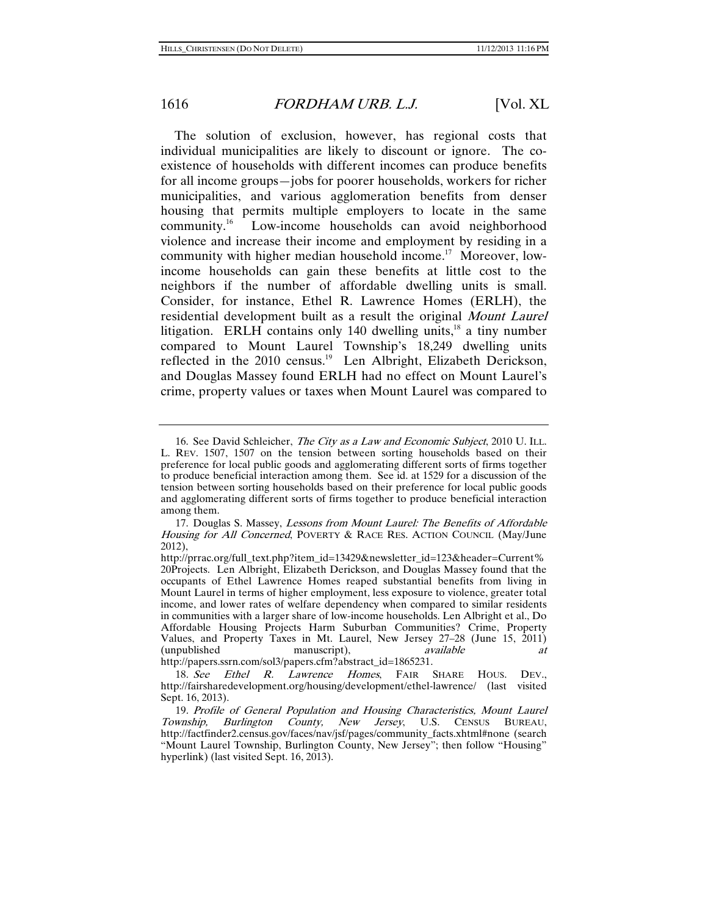The solution of exclusion, however, has regional costs that individual municipalities are likely to discount or ignore. The coexistence of households with different incomes can produce benefits for all income groups—jobs for poorer households, workers for richer municipalities, and various agglomeration benefits from denser housing that permits multiple employers to locate in the same community.16 Low-income households can avoid neighborhood violence and increase their income and employment by residing in a community with higher median household income.<sup>17</sup> Moreover, lowincome households can gain these benefits at little cost to the neighbors if the number of affordable dwelling units is small. Consider, for instance, Ethel R. Lawrence Homes (ERLH), the residential development built as a result the original Mount Laurel litigation. ERLH contains only 140 dwelling units, $^{18}$  a tiny number compared to Mount Laurel Township's 18,249 dwelling units reflected in the 2010 census.<sup>19</sup> Len Albright, Elizabeth Derickson, and Douglas Massey found ERLH had no effect on Mount Laurel's crime, property values or taxes when Mount Laurel was compared to

http://papers.ssrn.com/sol3/papers.cfm?abstract\_id=1865231.

 <sup>16.</sup> See David Schleicher, The City as a Law and Economic Subject, 2010 U. ILL. L. REV. 1507, 1507 on the tension between sorting households based on their preference for local public goods and agglomerating different sorts of firms together to produce beneficial interaction among them. See id. at 1529 for a discussion of the tension between sorting households based on their preference for local public goods and agglomerating different sorts of firms together to produce beneficial interaction among them.

 <sup>17.</sup> Douglas S. Massey, Lessons from Mount Laurel: The Benefits of Affordable Housing for All Concerned, POVERTY & RACE RES. ACTION COUNCIL (May/June 2012),

http://prrac.org/full\_text.php?item\_id=13429&newsletter\_id=123&header=Current% 20Projects. Len Albright, Elizabeth Derickson, and Douglas Massey found that the occupants of Ethel Lawrence Homes reaped substantial benefits from living in Mount Laurel in terms of higher employment, less exposure to violence, greater total income, and lower rates of welfare dependency when compared to similar residents in communities with a larger share of low-income households. Len Albright et al., Do Affordable Housing Projects Harm Suburban Communities? Crime, Property Values, and Property Taxes in Mt. Laurel, New Jersey 27–28 (June 15, 2011) (unpublished manuscript), available at at

<sup>18.</sup> See Ethel R. Lawrence Homes, FAIR SHARE HOUS. DEV., http://fairsharedevelopment.org/housing/development/ethel-lawrence/ (last visited Sept. 16, 2013).

<sup>19</sup>. Profile of General Population and Housing Characteristics, Mount Laurel Township, Burlington County, New Jersey, U.S. CENSUS BUREAU, http://factfinder2.census.gov/faces/nav/jsf/pages/community\_facts.xhtml#none (search "Mount Laurel Township, Burlington County, New Jersey"; then follow "Housing" hyperlink) (last visited Sept. 16, 2013).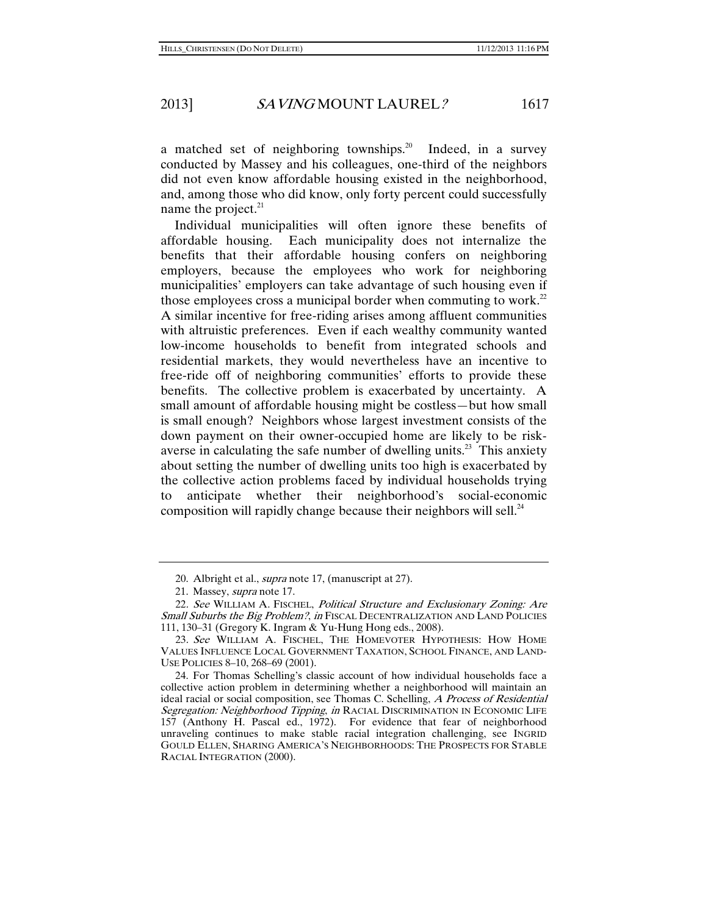a matched set of neighboring townships.<sup>20</sup> Indeed, in a survey conducted by Massey and his colleagues, one-third of the neighbors did not even know affordable housing existed in the neighborhood, and, among those who did know, only forty percent could successfully name the project. $^{21}$ 

Individual municipalities will often ignore these benefits of affordable housing. Each municipality does not internalize the benefits that their affordable housing confers on neighboring employers, because the employees who work for neighboring municipalities' employers can take advantage of such housing even if those employees cross a municipal border when commuting to work.<sup>22</sup> A similar incentive for free-riding arises among affluent communities with altruistic preferences. Even if each wealthy community wanted low-income households to benefit from integrated schools and residential markets, they would nevertheless have an incentive to free-ride off of neighboring communities' efforts to provide these benefits. The collective problem is exacerbated by uncertainty. A small amount of affordable housing might be costless—but how small is small enough? Neighbors whose largest investment consists of the down payment on their owner-occupied home are likely to be riskaverse in calculating the safe number of dwelling units.<sup>23</sup> This anxiety about setting the number of dwelling units too high is exacerbated by the collective action problems faced by individual households trying to anticipate whether their neighborhood's social-economic composition will rapidly change because their neighbors will sell. $^{24}$ 

 <sup>20.</sup> Albright et al., supra note 17, (manuscript at 27).

 <sup>21.</sup> Massey, supra note 17.

<sup>22.</sup> See WILLIAM A. FISCHEL, Political Structure and Exclusionary Zoning: Are Small Suburbs the Big Problem?, in FISCAL DECENTRALIZATION AND LAND POLICIES 111, 130–31 (Gregory K. Ingram & Yu-Hung Hong eds., 2008).

<sup>23.</sup> See WILLIAM A. FISCHEL, THE HOMEVOTER HYPOTHESIS: HOW HOME VALUES INFLUENCE LOCAL GOVERNMENT TAXATION, SCHOOL FINANCE, AND LAND-USE POLICIES 8–10, 268–69 (2001).

 <sup>24.</sup> For Thomas Schelling's classic account of how individual households face a collective action problem in determining whether a neighborhood will maintain an ideal racial or social composition, see Thomas C. Schelling, A Process of Residential Segregation: Neighborhood Tipping, in RACIAL DISCRIMINATION IN ECONOMIC LIFE 157 (Anthony H. Pascal ed., 1972). For evidence that fear of neighborhood unraveling continues to make stable racial integration challenging, see INGRID GOULD ELLEN, SHARING AMERICA'S NEIGHBORHOODS: THE PROSPECTS FOR STABLE RACIAL INTEGRATION (2000).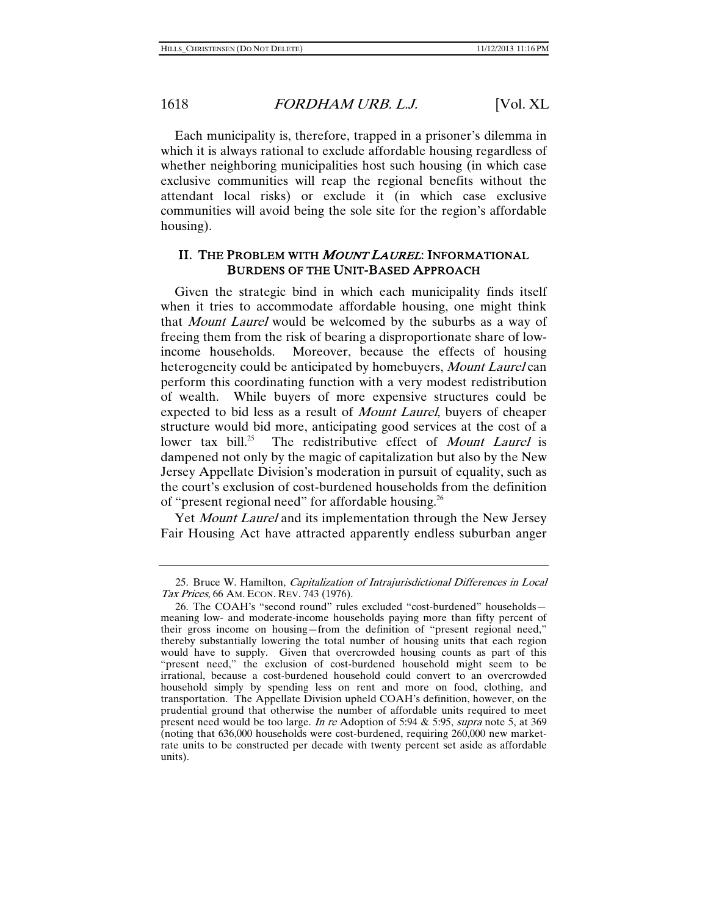Each municipality is, therefore, trapped in a prisoner's dilemma in which it is always rational to exclude affordable housing regardless of whether neighboring municipalities host such housing (in which case exclusive communities will reap the regional benefits without the attendant local risks) or exclude it (in which case exclusive communities will avoid being the sole site for the region's affordable housing).

### II. THE PROBLEM WITH MOUNT LAUREL: INFORMATIONAL BURDENS OF THE UNIT-BASED APPROACH

Given the strategic bind in which each municipality finds itself when it tries to accommodate affordable housing, one might think that Mount Laurel would be welcomed by the suburbs as a way of freeing them from the risk of bearing a disproportionate share of lowincome households. Moreover, because the effects of housing heterogeneity could be anticipated by homebuyers, *Mount Laurel* can perform this coordinating function with a very modest redistribution of wealth. While buyers of more expensive structures could be expected to bid less as a result of Mount Laurel, buyers of cheaper structure would bid more, anticipating good services at the cost of a lower tax bill.<sup>25</sup> The redistributive effect of *Mount Laurel* is The redistributive effect of *Mount Laurel* is dampened not only by the magic of capitalization but also by the New Jersey Appellate Division's moderation in pursuit of equality, such as the court's exclusion of cost-burdened households from the definition of "present regional need" for affordable housing.<sup>26</sup>

Yet *Mount Laurel* and its implementation through the New Jersey Fair Housing Act have attracted apparently endless suburban anger

 <sup>25.</sup> Bruce W. Hamilton, Capitalization of Intrajurisdictional Differences in Local Tax Prices, 66 AM. ECON. REV. 743 (1976).

 <sup>26.</sup> The COAH's "second round" rules excluded "cost-burdened" households meaning low- and moderate-income households paying more than fifty percent of their gross income on housing—from the definition of "present regional need," thereby substantially lowering the total number of housing units that each region would have to supply. Given that overcrowded housing counts as part of this "present need," the exclusion of cost-burdened household might seem to be irrational, because a cost-burdened household could convert to an overcrowded household simply by spending less on rent and more on food, clothing, and transportation. The Appellate Division upheld COAH's definition, however, on the prudential ground that otherwise the number of affordable units required to meet present need would be too large. In re Adoption of 5:94  $&$  5:95, supra note 5, at 369 (noting that 636,000 households were cost-burdened, requiring 260,000 new marketrate units to be constructed per decade with twenty percent set aside as affordable units).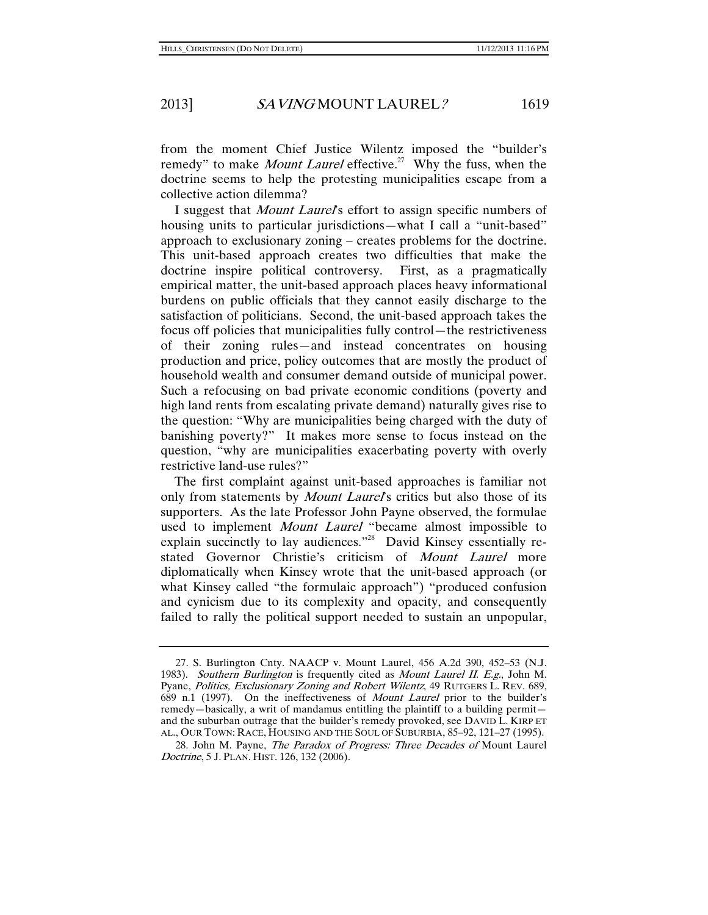from the moment Chief Justice Wilentz imposed the "builder's remedy" to make *Mount Laurel* effective.<sup>27</sup> Why the fuss, when the doctrine seems to help the protesting municipalities escape from a collective action dilemma?

I suggest that *Mount Laurel's* effort to assign specific numbers of housing units to particular jurisdictions—what I call a "unit-based" approach to exclusionary zoning – creates problems for the doctrine. This unit-based approach creates two difficulties that make the doctrine inspire political controversy. First, as a pragmatically empirical matter, the unit-based approach places heavy informational burdens on public officials that they cannot easily discharge to the satisfaction of politicians. Second, the unit-based approach takes the focus off policies that municipalities fully control—the restrictiveness of their zoning rules—and instead concentrates on housing production and price, policy outcomes that are mostly the product of household wealth and consumer demand outside of municipal power. Such a refocusing on bad private economic conditions (poverty and high land rents from escalating private demand) naturally gives rise to the question: "Why are municipalities being charged with the duty of banishing poverty?" It makes more sense to focus instead on the question, "why are municipalities exacerbating poverty with overly restrictive land-use rules?"

The first complaint against unit-based approaches is familiar not only from statements by *Mount Laurel's* critics but also those of its supporters. As the late Professor John Payne observed, the formulae used to implement *Mount Laurel* "became almost impossible to explain succinctly to lay audiences."<sup>28</sup> David Kinsey essentially restated Governor Christie's criticism of Mount Laurel more diplomatically when Kinsey wrote that the unit-based approach (or what Kinsey called "the formulaic approach") "produced confusion and cynicism due to its complexity and opacity, and consequently failed to rally the political support needed to sustain an unpopular,

 <sup>27.</sup> S. Burlington Cnty. NAACP v. Mount Laurel, 456 A.2d 390, 452–53 (N.J. 1983). Southern Burlington is frequently cited as Mount Laurel II. E.g., John M. Pyane, Politics, Exclusionary Zoning and Robert Wilentz, 49 RUTGERS L. REV. 689, 689 n.1 (1997). On the ineffectiveness of Mount Laurel prior to the builder's remedy—basically, a writ of mandamus entitling the plaintiff to a building permit and the suburban outrage that the builder's remedy provoked, see DAVID L. KIRP ET AL., OUR TOWN: RACE, HOUSING AND THE SOUL OF SUBURBIA, 85–92, 121–27 (1995).

 <sup>28.</sup> John M. Payne, The Paradox of Progress: Three Decades of Mount Laurel Doctrine, 5 J. PLAN. HIST. 126, 132 (2006).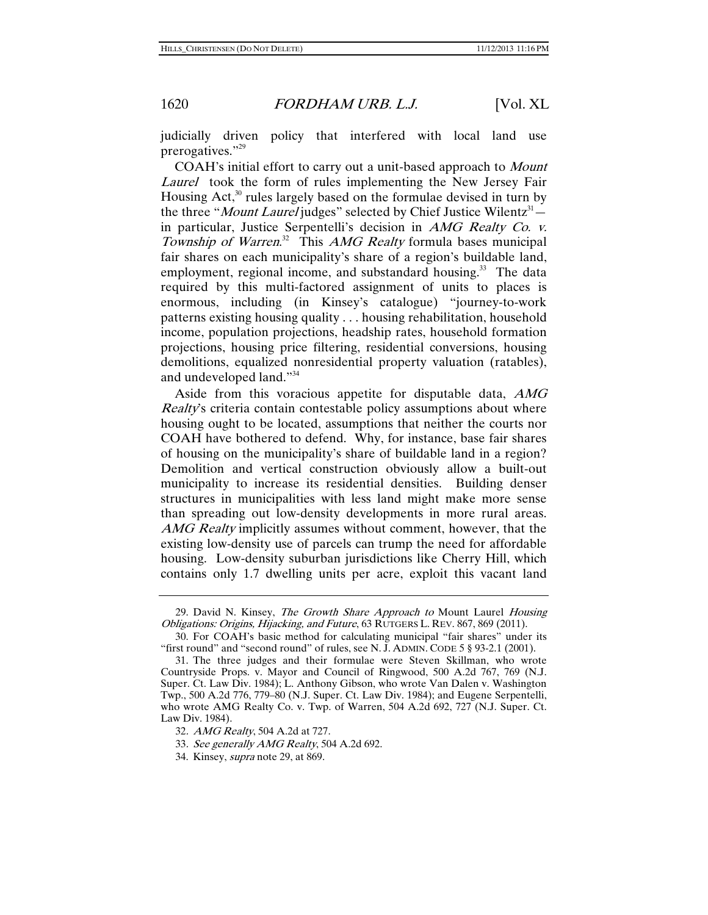judicially driven policy that interfered with local land use prerogatives."<sup>29</sup>

COAH's initial effort to carry out a unit-based approach to Mount Laurel took the form of rules implementing the New Jersey Fair Housing Act, $30$  rules largely based on the formulae devised in turn by the three "*Mount Laurel* judges" selected by Chief Justice Wilentz<sup>31</sup> in particular, Justice Serpentelli's decision in AMG Realty Co. v. Township of Warren.<sup>32</sup> This AMG Realty formula bases municipal fair shares on each municipality's share of a region's buildable land, employment, regional income, and substandard housing.<sup>33</sup> The data required by this multi-factored assignment of units to places is enormous, including (in Kinsey's catalogue) "journey-to-work patterns existing housing quality . . . housing rehabilitation, household income, population projections, headship rates, household formation projections, housing price filtering, residential conversions, housing demolitions, equalized nonresidential property valuation (ratables), and undeveloped land."34

Aside from this voracious appetite for disputable data, AMG Realty's criteria contain contestable policy assumptions about where housing ought to be located, assumptions that neither the courts nor COAH have bothered to defend. Why, for instance, base fair shares of housing on the municipality's share of buildable land in a region? Demolition and vertical construction obviously allow a built-out municipality to increase its residential densities. Building denser structures in municipalities with less land might make more sense than spreading out low-density developments in more rural areas. AMG Realty implicitly assumes without comment, however, that the existing low-density use of parcels can trump the need for affordable housing. Low-density suburban jurisdictions like Cherry Hill, which contains only 1.7 dwelling units per acre, exploit this vacant land

<sup>29.</sup> David N. Kinsey, *The Growth Share Approach to* Mount Laurel *Housing* Obligations: Origins, Hijacking, and Future, 63 RUTGERS L. REV. 867, 869 (2011).

 <sup>30.</sup> For COAH's basic method for calculating municipal "fair shares" under its "first round" and "second round" of rules, see N. J. ADMIN. CODE 5 § 93-2.1 (2001).

 <sup>31.</sup> The three judges and their formulae were Steven Skillman, who wrote Countryside Props. v. Mayor and Council of Ringwood, 500 A.2d 767, 769 (N.J. Super. Ct. Law Div. 1984); L. Anthony Gibson, who wrote Van Dalen v. Washington Twp., 500 A.2d 776, 779–80 (N.J. Super. Ct. Law Div. 1984); and Eugene Serpentelli, who wrote AMG Realty Co. v. Twp. of Warren, 504 A.2d 692, 727 (N.J. Super. Ct. Law Div. 1984).

<sup>32</sup>. AMG Realty, 504 A.2d at 727.

<sup>33</sup>. See generally AMG Realty, 504 A.2d 692.

 <sup>34.</sup> Kinsey, supra note 29, at 869.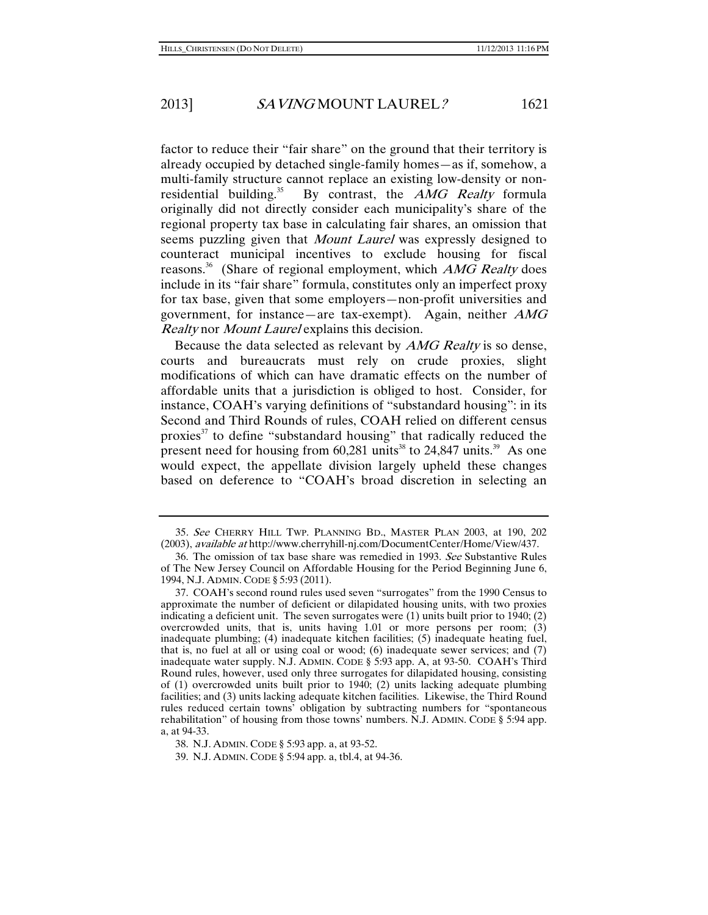factor to reduce their "fair share" on the ground that their territory is already occupied by detached single-family homes—as if, somehow, a multi-family structure cannot replace an existing low-density or nonresidential building.<sup>35</sup> By contrast, the *AMG Realty* formula originally did not directly consider each municipality's share of the regional property tax base in calculating fair shares, an omission that seems puzzling given that *Mount Laurel* was expressly designed to counteract municipal incentives to exclude housing for fiscal reasons.<sup>36</sup> (Share of regional employment, which *AMG Realty* does include in its "fair share" formula, constitutes only an imperfect proxy for tax base, given that some employers—non-profit universities and government, for instance—are tax-exempt). Again, neither  $AMG$ Realty nor Mount Laurel explains this decision.

Because the data selected as relevant by *AMG Realty* is so dense, courts and bureaucrats must rely on crude proxies, slight modifications of which can have dramatic effects on the number of affordable units that a jurisdiction is obliged to host. Consider, for instance, COAH's varying definitions of "substandard housing": in its Second and Third Rounds of rules, COAH relied on different census proxies<sup>37</sup> to define "substandard housing" that radically reduced the present need for housing from  $60,281$  units<sup>38</sup> to 24,847 units.<sup>39</sup> As one would expect, the appellate division largely upheld these changes based on deference to "COAH's broad discretion in selecting an

<sup>35</sup>. See CHERRY HILL TWP. PLANNING BD., MASTER PLAN 2003, at 190, 202 (2003), available at http://www.cherryhill-nj.com/DocumentCenter/Home/View/437.

 <sup>36.</sup> The omission of tax base share was remedied in 1993. See Substantive Rules of The New Jersey Council on Affordable Housing for the Period Beginning June 6, 1994, N.J. ADMIN. CODE § 5:93 (2011).

 <sup>37.</sup> COAH's second round rules used seven "surrogates" from the 1990 Census to approximate the number of deficient or dilapidated housing units, with two proxies indicating a deficient unit. The seven surrogates were  $(1)$  units built prior to 1940;  $(2)$ overcrowded units, that is, units having 1.01 or more persons per room; (3) inadequate plumbing; (4) inadequate kitchen facilities; (5) inadequate heating fuel, that is, no fuel at all or using coal or wood; (6) inadequate sewer services; and (7) inadequate water supply. N.J. ADMIN. CODE § 5:93 app. A, at 93-50. COAH's Third Round rules, however, used only three surrogates for dilapidated housing, consisting of (1) overcrowded units built prior to 1940; (2) units lacking adequate plumbing facilities; and (3) units lacking adequate kitchen facilities. Likewise, the Third Round rules reduced certain towns' obligation by subtracting numbers for "spontaneous rehabilitation" of housing from those towns' numbers. N.J. ADMIN. CODE § 5:94 app. a, at 94-33.

 <sup>38.</sup> N.J. ADMIN. CODE § 5:93 app. a, at 93-52.

 <sup>39.</sup> N.J. ADMIN. CODE § 5:94 app. a, tbl.4, at 94-36.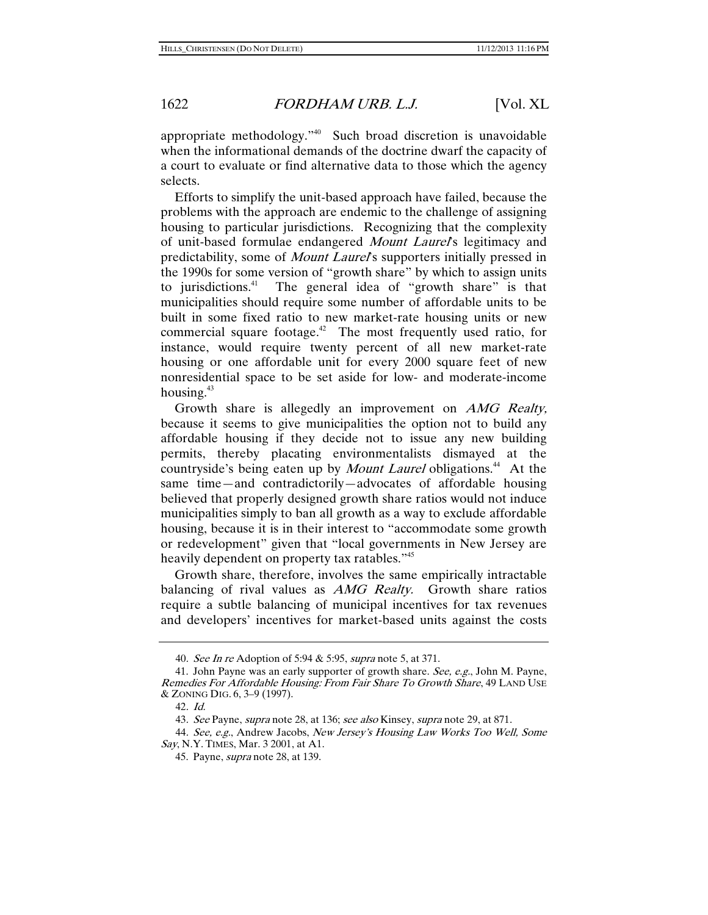appropriate methodology."40 Such broad discretion is unavoidable when the informational demands of the doctrine dwarf the capacity of a court to evaluate or find alternative data to those which the agency selects.

Efforts to simplify the unit-based approach have failed, because the problems with the approach are endemic to the challenge of assigning housing to particular jurisdictions. Recognizing that the complexity of unit-based formulae endangered *Mount Laurel's* legitimacy and predictability, some of *Mount Laurel's* supporters initially pressed in the 1990s for some version of "growth share" by which to assign units to jurisdictions.<sup>41</sup> The general idea of "growth share" is that municipalities should require some number of affordable units to be built in some fixed ratio to new market-rate housing units or new commercial square footage.<sup>42</sup> The most frequently used ratio, for instance, would require twenty percent of all new market-rate housing or one affordable unit for every 2000 square feet of new nonresidential space to be set aside for low- and moderate-income housing. $43$ 

Growth share is allegedly an improvement on AMG Realty, because it seems to give municipalities the option not to build any affordable housing if they decide not to issue any new building permits, thereby placating environmentalists dismayed at the countryside's being eaten up by *Mount Laurel* obligations.<sup>44</sup> At the same time—and contradictorily—advocates of affordable housing believed that properly designed growth share ratios would not induce municipalities simply to ban all growth as a way to exclude affordable housing, because it is in their interest to "accommodate some growth or redevelopment" given that "local governments in New Jersey are heavily dependent on property tax ratables."<sup>45</sup>

Growth share, therefore, involves the same empirically intractable balancing of rival values as AMG Realty. Growth share ratios require a subtle balancing of municipal incentives for tax revenues and developers' incentives for market-based units against the costs

<sup>40</sup>. See In re Adoption of 5:94 & 5:95, supra note 5, at 371.

 <sup>41.</sup> John Payne was an early supporter of growth share. See, e.g., John M. Payne, Remedies For Affordable Housing: From Fair Share To Growth Share, 49 LAND USE & ZONING DIG. 6, 3–9 (1997).

<sup>42</sup>. Id.

<sup>43.</sup> See Payne, supra note 28, at 136; see also Kinsey, supra note 29, at 871.

<sup>44</sup>. See, e.g., Andrew Jacobs, New Jersey's Housing Law Works Too Well, Some Say, N.Y. TIMES, Mar. 3 2001, at A1.

 <sup>45.</sup> Payne, supra note 28, at 139.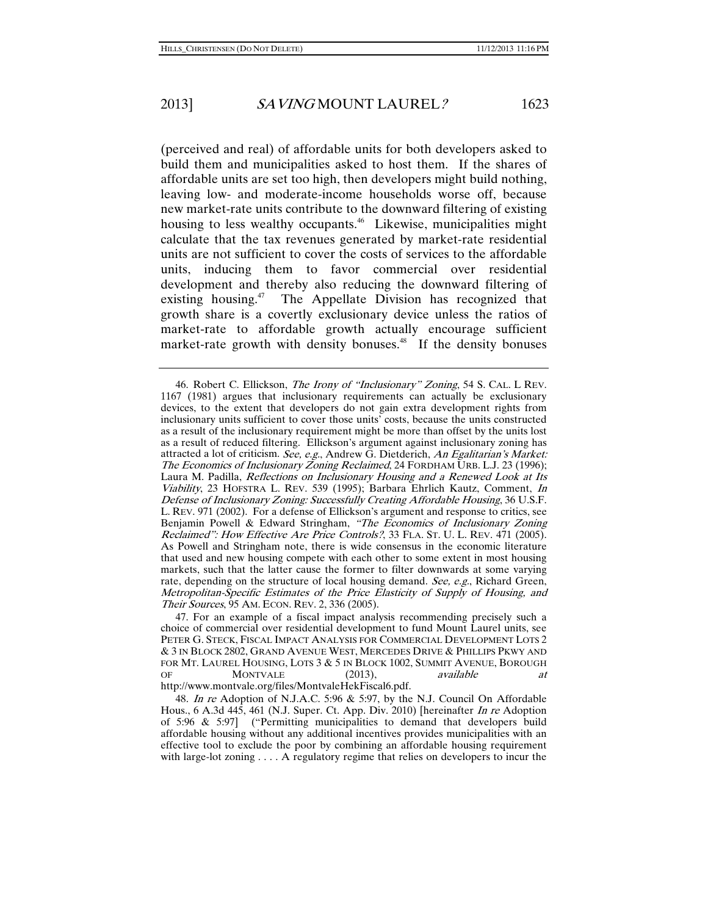(perceived and real) of affordable units for both developers asked to build them and municipalities asked to host them. If the shares of affordable units are set too high, then developers might build nothing, leaving low- and moderate-income households worse off, because new market-rate units contribute to the downward filtering of existing housing to less wealthy occupants.<sup>46</sup> Likewise, municipalities might calculate that the tax revenues generated by market-rate residential units are not sufficient to cover the costs of services to the affordable units, inducing them to favor commercial over residential development and thereby also reducing the downward filtering of existing housing.<sup>47</sup> The Appellate Division has recognized that growth share is a covertly exclusionary device unless the ratios of market-rate to affordable growth actually encourage sufficient market-rate growth with density bonuses.<sup>48</sup> If the density bonuses

 <sup>46.</sup> Robert C. Ellickson, The Irony of "Inclusionary" Zoning, 54 S. CAL. L REV. 1167 (1981) argues that inclusionary requirements can actually be exclusionary devices, to the extent that developers do not gain extra development rights from inclusionary units sufficient to cover those units' costs, because the units constructed as a result of the inclusionary requirement might be more than offset by the units lost as a result of reduced filtering. Ellickson's argument against inclusionary zoning has attracted a lot of criticism. See, e.g., Andrew G. Dietderich, An Egalitarian's Market: The Economics of Inclusionary Zoning Reclaimed, 24 FORDHAM URB. L.J. 23 (1996); Laura M. Padilla, Reflections on Inclusionary Housing and a Renewed Look at Its Viability, 23 HOFSTRA L. REV. 539 (1995); Barbara Ehrlich Kautz, Comment, In Defense of Inclusionary Zoning: Successfully Creating Affordable Housing, 36 U.S.F. L. REV. 971 (2002). For a defense of Ellickson's argument and response to critics, see Benjamin Powell & Edward Stringham, "The Economics of Inclusionary Zoning Reclaimed": How Effective Are Price Controls?, 33 FLA. ST. U. L. REV. 471 (2005). As Powell and Stringham note, there is wide consensus in the economic literature that used and new housing compete with each other to some extent in most housing markets, such that the latter cause the former to filter downwards at some varying rate, depending on the structure of local housing demand. See, e.g., Richard Green, Metropolitan-Specific Estimates of the Price Elasticity of Supply of Housing, and Their Sources, 95 AM. ECON. REV. 2, 336 (2005).

 <sup>47.</sup> For an example of a fiscal impact analysis recommending precisely such a choice of commercial over residential development to fund Mount Laurel units, see PETER G. STECK, FISCAL IMPACT ANALYSIS FOR COMMERCIAL DEVELOPMENT LOTS 2 & 3 IN BLOCK 2802, GRAND AVENUE WEST, MERCEDES DRIVE & PHILLIPS PKWY AND FOR MT. LAUREL HOUSING, LOTS 3 & 5 IN BLOCK 1002, SUMMIT AVENUE, BOROUGH OF MONTVALE (2013), *available at* OF MONTVALE (2013), available at http://www.montvale.org/files/MontvaleHekFiscal6.pdf.

<sup>48</sup>. In re Adoption of N.J.A.C. 5:96 & 5:97, by the N.J. Council On Affordable Hous., 6 A.3d 445, 461 (N.J. Super. Ct. App. Div. 2010) [hereinafter *In re* Adoption of 5:96 & 5:97] ("Permitting municipalities to demand that developers build affordable housing without any additional incentives provides municipalities with an effective tool to exclude the poor by combining an affordable housing requirement with large-lot zoning . . . . A regulatory regime that relies on developers to incur the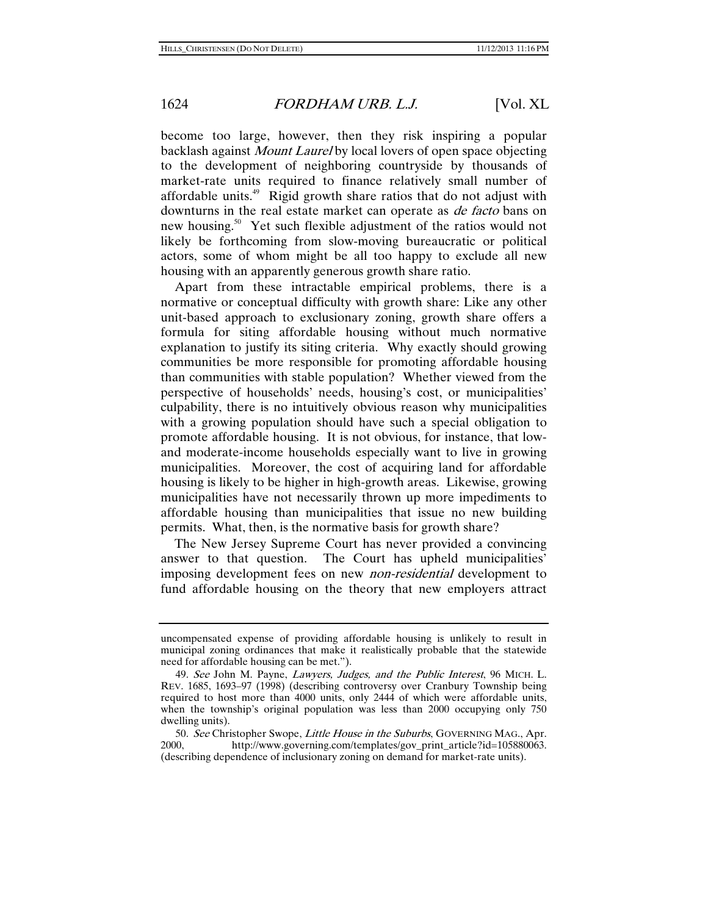become too large, however, then they risk inspiring a popular backlash against Mount Laurel by local lovers of open space objecting to the development of neighboring countryside by thousands of market-rate units required to finance relatively small number of affordable units.<sup>49</sup> Rigid growth share ratios that do not adjust with downturns in the real estate market can operate as *de facto* bans on new housing.<sup>50</sup> Yet such flexible adjustment of the ratios would not likely be forthcoming from slow-moving bureaucratic or political actors, some of whom might be all too happy to exclude all new housing with an apparently generous growth share ratio.

Apart from these intractable empirical problems, there is a normative or conceptual difficulty with growth share: Like any other unit-based approach to exclusionary zoning, growth share offers a formula for siting affordable housing without much normative explanation to justify its siting criteria. Why exactly should growing communities be more responsible for promoting affordable housing than communities with stable population? Whether viewed from the perspective of households' needs, housing's cost, or municipalities' culpability, there is no intuitively obvious reason why municipalities with a growing population should have such a special obligation to promote affordable housing. It is not obvious, for instance, that lowand moderate-income households especially want to live in growing municipalities. Moreover, the cost of acquiring land for affordable housing is likely to be higher in high-growth areas. Likewise, growing municipalities have not necessarily thrown up more impediments to affordable housing than municipalities that issue no new building permits. What, then, is the normative basis for growth share?

The New Jersey Supreme Court has never provided a convincing answer to that question. The Court has upheld municipalities' imposing development fees on new non-residential development to fund affordable housing on the theory that new employers attract

uncompensated expense of providing affordable housing is unlikely to result in municipal zoning ordinances that make it realistically probable that the statewide need for affordable housing can be met.").

<sup>49.</sup> See John M. Payne, Lawyers, Judges, and the Public Interest, 96 MICH. L. REV. 1685, 1693–97 (1998) (describing controversy over Cranbury Township being required to host more than 4000 units, only 2444 of which were affordable units, when the township's original population was less than 2000 occupying only 750 dwelling units).

<sup>50.</sup> See Christopher Swope, *Little House in the Suburbs*, GOVERNING MAG., Apr. 2000. http://www.governing.com/templates/gov print article?id=105880063. http://www.governing.com/templates/gov\_print\_article?id=105880063. (describing dependence of inclusionary zoning on demand for market-rate units).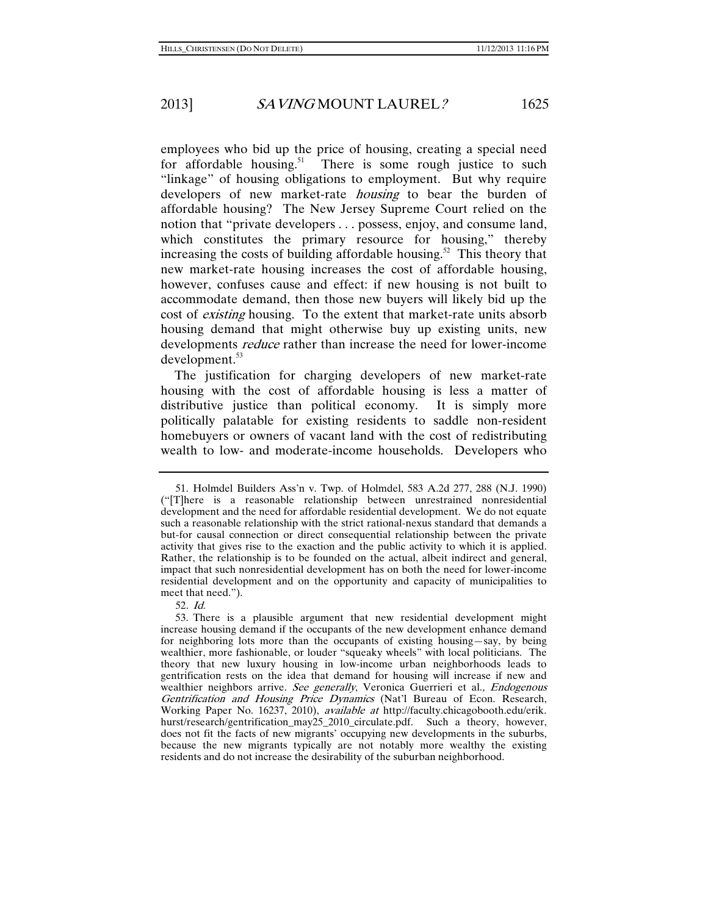employees who bid up the price of housing, creating a special need for affordable housing.<sup>51</sup> There is some rough justice to such "linkage" of housing obligations to employment. But why require developers of new market-rate *housing* to bear the burden of affordable housing? The New Jersey Supreme Court relied on the notion that "private developers . . . possess, enjoy, and consume land, which constitutes the primary resource for housing," thereby increasing the costs of building affordable housing.<sup>52</sup> This theory that new market-rate housing increases the cost of affordable housing, however, confuses cause and effect: if new housing is not built to accommodate demand, then those new buyers will likely bid up the cost of existing housing. To the extent that market-rate units absorb housing demand that might otherwise buy up existing units, new developments *reduce* rather than increase the need for lower-income development.<sup>53</sup>

The justification for charging developers of new market-rate housing with the cost of affordable housing is less a matter of distributive justice than political economy. It is simply more politically palatable for existing residents to saddle non-resident homebuyers or owners of vacant land with the cost of redistributing wealth to low- and moderate-income households. Developers who

 <sup>51.</sup> Holmdel Builders Ass'n v. Twp. of Holmdel, 583 A.2d 277, 288 (N.J. 1990) ("[T]here is a reasonable relationship between unrestrained nonresidential development and the need for affordable residential development. We do not equate such a reasonable relationship with the strict rational-nexus standard that demands a but-for causal connection or direct consequential relationship between the private activity that gives rise to the exaction and the public activity to which it is applied. Rather, the relationship is to be founded on the actual, albeit indirect and general, impact that such nonresidential development has on both the need for lower-income residential development and on the opportunity and capacity of municipalities to meet that need.").

<sup>52</sup>. Id.

 <sup>53.</sup> There is a plausible argument that new residential development might increase housing demand if the occupants of the new development enhance demand for neighboring lots more than the occupants of existing housing—say, by being wealthier, more fashionable, or louder "squeaky wheels" with local politicians. The theory that new luxury housing in low-income urban neighborhoods leads to gentrification rests on the idea that demand for housing will increase if new and wealthier neighbors arrive. See generally, Veronica Guerrieri et al., Endogenous Gentrification and Housing Price Dynamics (Nat'l Bureau of Econ. Research, Working Paper No. 16237, 2010), available at http://faculty.chicagobooth.edu/erik. hurst/research/gentrification\_may25\_2010\_circulate.pdf. Such a theory, however, does not fit the facts of new migrants' occupying new developments in the suburbs, because the new migrants typically are not notably more wealthy the existing residents and do not increase the desirability of the suburban neighborhood.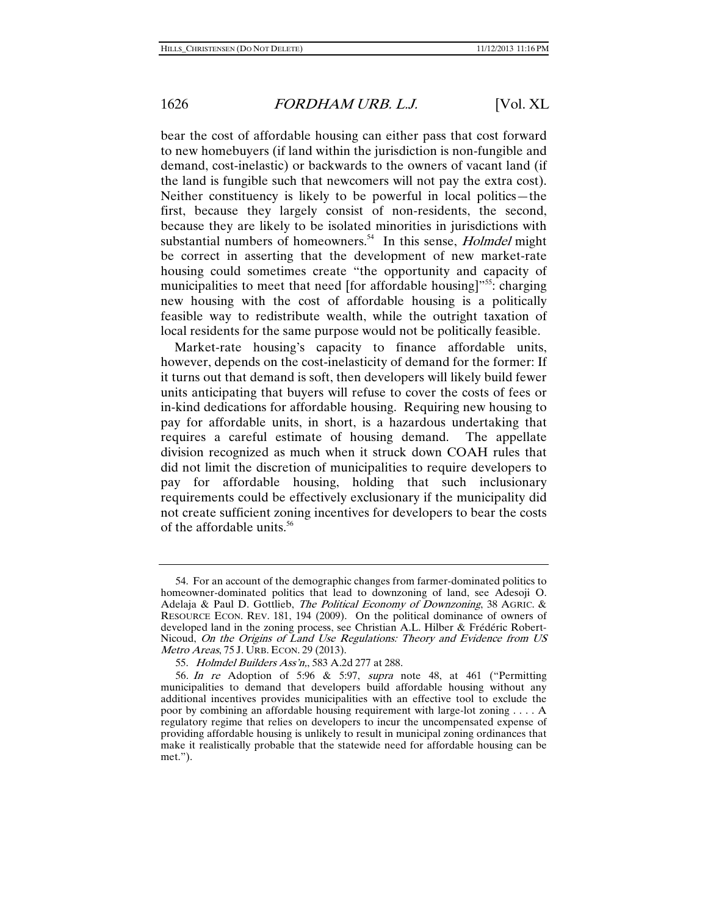bear the cost of affordable housing can either pass that cost forward to new homebuyers (if land within the jurisdiction is non-fungible and demand, cost-inelastic) or backwards to the owners of vacant land (if the land is fungible such that newcomers will not pay the extra cost). Neither constituency is likely to be powerful in local politics—the first, because they largely consist of non-residents, the second, because they are likely to be isolated minorities in jurisdictions with substantial numbers of homeowners.<sup>54</sup> In this sense, *Holmdel* might be correct in asserting that the development of new market-rate housing could sometimes create "the opportunity and capacity of municipalities to meet that need [for affordable housing]"<sup>55</sup>: charging new housing with the cost of affordable housing is a politically feasible way to redistribute wealth, while the outright taxation of local residents for the same purpose would not be politically feasible.

Market-rate housing's capacity to finance affordable units, however, depends on the cost-inelasticity of demand for the former: If it turns out that demand is soft, then developers will likely build fewer units anticipating that buyers will refuse to cover the costs of fees or in-kind dedications for affordable housing. Requiring new housing to pay for affordable units, in short, is a hazardous undertaking that requires a careful estimate of housing demand. The appellate division recognized as much when it struck down COAH rules that did not limit the discretion of municipalities to require developers to pay for affordable housing, holding that such inclusionary requirements could be effectively exclusionary if the municipality did not create sufficient zoning incentives for developers to bear the costs of the affordable units.<sup>56</sup>

 <sup>54.</sup> For an account of the demographic changes from farmer-dominated politics to homeowner-dominated politics that lead to downzoning of land, see Adesoji O. Adelaja & Paul D. Gottlieb, *The Political Economy of Downzoning*, 38 AGRIC. & RESOURCE ECON. REV. 181, 194 (2009). On the political dominance of owners of developed land in the zoning process, see Christian A.L. Hilber & Frédéric Robert-Nicoud, On the Origins of Land Use Regulations: Theory and Evidence from US Metro Areas, 75 J. URB. ECON. 29 (2013).

 <sup>55.</sup> Holmdel Builders Ass'n,, 583 A.2d 277 at 288.

<sup>56</sup>. In re Adoption of 5:96 & 5:97, supra note 48, at 461 ("Permitting municipalities to demand that developers build affordable housing without any additional incentives provides municipalities with an effective tool to exclude the poor by combining an affordable housing requirement with large-lot zoning . . . . A regulatory regime that relies on developers to incur the uncompensated expense of providing affordable housing is unlikely to result in municipal zoning ordinances that make it realistically probable that the statewide need for affordable housing can be met.").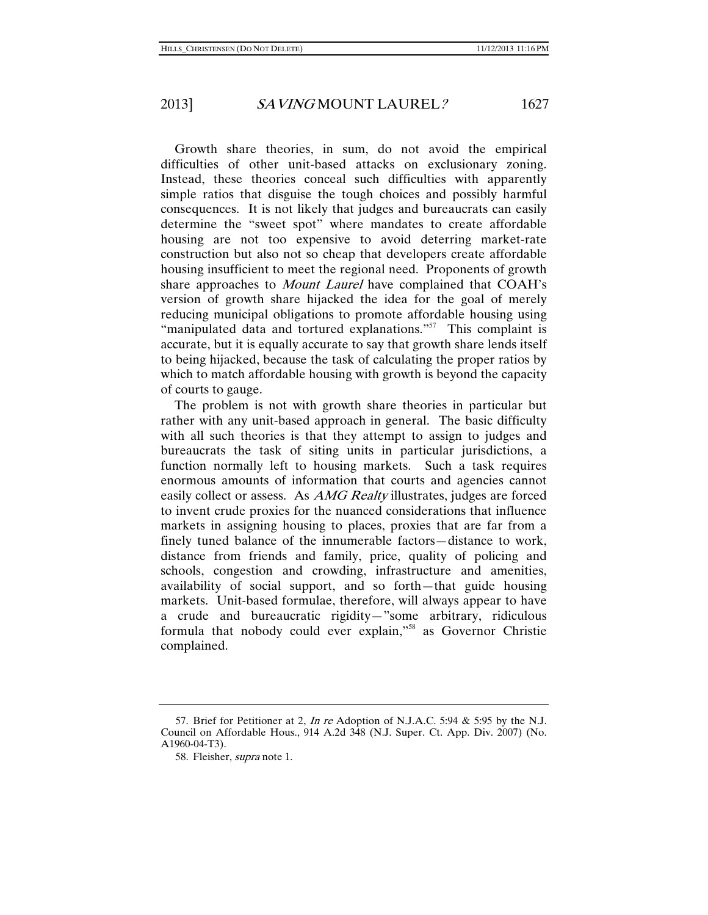Growth share theories, in sum, do not avoid the empirical difficulties of other unit-based attacks on exclusionary zoning. Instead, these theories conceal such difficulties with apparently simple ratios that disguise the tough choices and possibly harmful consequences. It is not likely that judges and bureaucrats can easily determine the "sweet spot" where mandates to create affordable housing are not too expensive to avoid deterring market-rate construction but also not so cheap that developers create affordable housing insufficient to meet the regional need. Proponents of growth share approaches to *Mount Laurel* have complained that COAH's version of growth share hijacked the idea for the goal of merely reducing municipal obligations to promote affordable housing using "manipulated data and tortured explanations."<sup>57</sup> This complaint is accurate, but it is equally accurate to say that growth share lends itself to being hijacked, because the task of calculating the proper ratios by which to match affordable housing with growth is beyond the capacity of courts to gauge.

The problem is not with growth share theories in particular but rather with any unit-based approach in general. The basic difficulty with all such theories is that they attempt to assign to judges and bureaucrats the task of siting units in particular jurisdictions, a function normally left to housing markets. Such a task requires enormous amounts of information that courts and agencies cannot easily collect or assess. As AMG Realty illustrates, judges are forced to invent crude proxies for the nuanced considerations that influence markets in assigning housing to places, proxies that are far from a finely tuned balance of the innumerable factors—distance to work, distance from friends and family, price, quality of policing and schools, congestion and crowding, infrastructure and amenities, availability of social support, and so forth—that guide housing markets. Unit-based formulae, therefore, will always appear to have a crude and bureaucratic rigidity—"some arbitrary, ridiculous formula that nobody could ever explain,"<sup>58</sup> as Governor Christie complained.

 <sup>57.</sup> Brief for Petitioner at 2, In re Adoption of N.J.A.C. 5:94 & 5:95 by the N.J. Council on Affordable Hous., 914 A.2d 348 (N.J. Super. Ct. App. Div. 2007) (No. A1960-04-T3).

 <sup>58.</sup> Fleisher, supra note 1.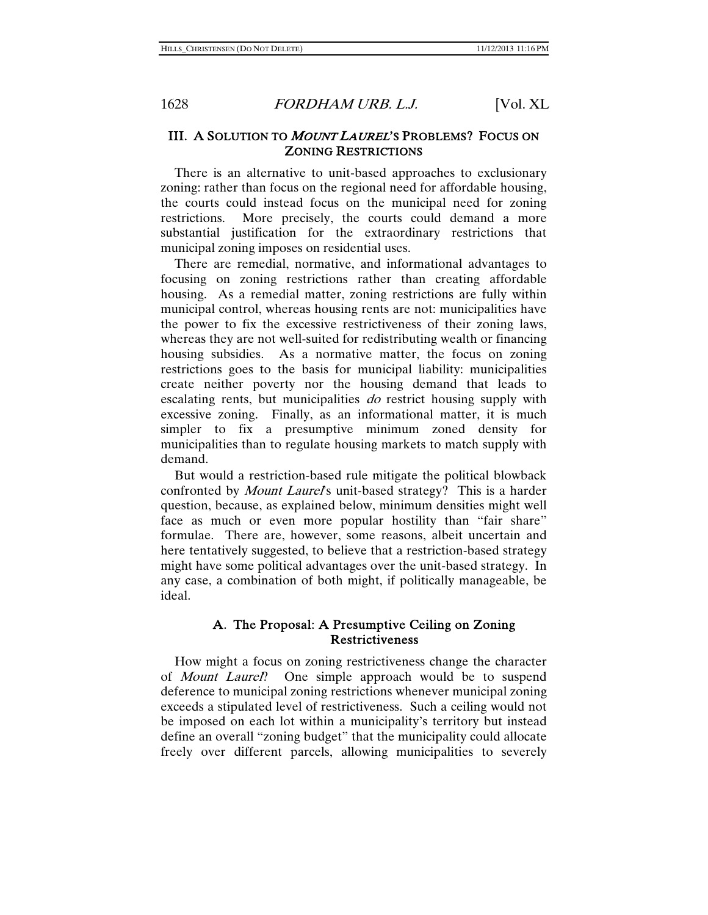#### III. A SOLUTION TO *MOUNT LAUREL*'S PROBLEMS? FOCUS ON ZONING RESTRICTIONS

There is an alternative to unit-based approaches to exclusionary zoning: rather than focus on the regional need for affordable housing, the courts could instead focus on the municipal need for zoning restrictions. More precisely, the courts could demand a more substantial justification for the extraordinary restrictions that municipal zoning imposes on residential uses.

There are remedial, normative, and informational advantages to focusing on zoning restrictions rather than creating affordable housing. As a remedial matter, zoning restrictions are fully within municipal control, whereas housing rents are not: municipalities have the power to fix the excessive restrictiveness of their zoning laws, whereas they are not well-suited for redistributing wealth or financing housing subsidies. As a normative matter, the focus on zoning restrictions goes to the basis for municipal liability: municipalities create neither poverty nor the housing demand that leads to escalating rents, but municipalities *do* restrict housing supply with excessive zoning. Finally, as an informational matter, it is much simpler to fix a presumptive minimum zoned density for municipalities than to regulate housing markets to match supply with demand.

But would a restriction-based rule mitigate the political blowback confronted by *Mount Laurel's* unit-based strategy? This is a harder question, because, as explained below, minimum densities might well face as much or even more popular hostility than "fair share" formulae. There are, however, some reasons, albeit uncertain and here tentatively suggested, to believe that a restriction-based strategy might have some political advantages over the unit-based strategy. In any case, a combination of both might, if politically manageable, be ideal.

#### A. The Proposal: A Presumptive Ceiling on Zoning Restrictiveness

How might a focus on zoning restrictiveness change the character of *Mount Laurel*? One simple approach would be to suspend deference to municipal zoning restrictions whenever municipal zoning exceeds a stipulated level of restrictiveness. Such a ceiling would not be imposed on each lot within a municipality's territory but instead define an overall "zoning budget" that the municipality could allocate freely over different parcels, allowing municipalities to severely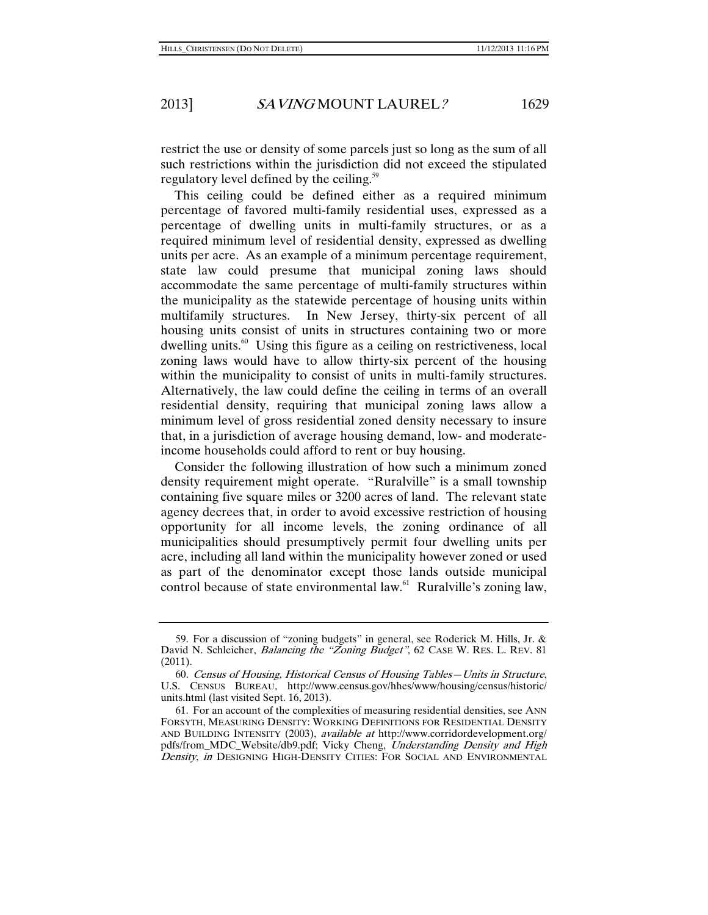restrict the use or density of some parcels just so long as the sum of all such restrictions within the jurisdiction did not exceed the stipulated regulatory level defined by the ceiling.<sup>59</sup>

This ceiling could be defined either as a required minimum percentage of favored multi-family residential uses, expressed as a percentage of dwelling units in multi-family structures, or as a required minimum level of residential density, expressed as dwelling units per acre. As an example of a minimum percentage requirement, state law could presume that municipal zoning laws should accommodate the same percentage of multi-family structures within the municipality as the statewide percentage of housing units within multifamily structures. In New Jersey, thirty-six percent of all housing units consist of units in structures containing two or more dwelling units.<sup>60</sup> Using this figure as a ceiling on restrictiveness, local zoning laws would have to allow thirty-six percent of the housing within the municipality to consist of units in multi-family structures. Alternatively, the law could define the ceiling in terms of an overall residential density, requiring that municipal zoning laws allow a minimum level of gross residential zoned density necessary to insure that, in a jurisdiction of average housing demand, low- and moderateincome households could afford to rent or buy housing.

Consider the following illustration of how such a minimum zoned density requirement might operate. "Ruralville" is a small township containing five square miles or 3200 acres of land. The relevant state agency decrees that, in order to avoid excessive restriction of housing opportunity for all income levels, the zoning ordinance of all municipalities should presumptively permit four dwelling units per acre, including all land within the municipality however zoned or used as part of the denominator except those lands outside municipal control because of state environmental law.<sup>61</sup> Ruralville's zoning law,

 <sup>59.</sup> For a discussion of "zoning budgets" in general, see Roderick M. Hills, Jr. & David N. Schleicher, *Balancing the "Zoning Budget"*, 62 CASE W. RES. L. REV. 81 (2011).

<sup>60</sup>. Census of Housing, Historical Census of Housing Tables—Units in Structure, U.S. CENSUS BUREAU, http://www.census.gov/hhes/www/housing/census/historic/ units.html (last visited Sept. 16, 2013).

 <sup>61.</sup> For an account of the complexities of measuring residential densities, see ANN FORSYTH, MEASURING DENSITY: WORKING DEFINITIONS FOR RESIDENTIAL DENSITY AND BUILDING INTENSITY (2003), available at http://www.corridordevelopment.org/ pdfs/from\_MDC\_Website/db9.pdf; Vicky Cheng, Understanding Density and High Density, in DESIGNING HIGH-DENSITY CITIES: FOR SOCIAL AND ENVIRONMENTAL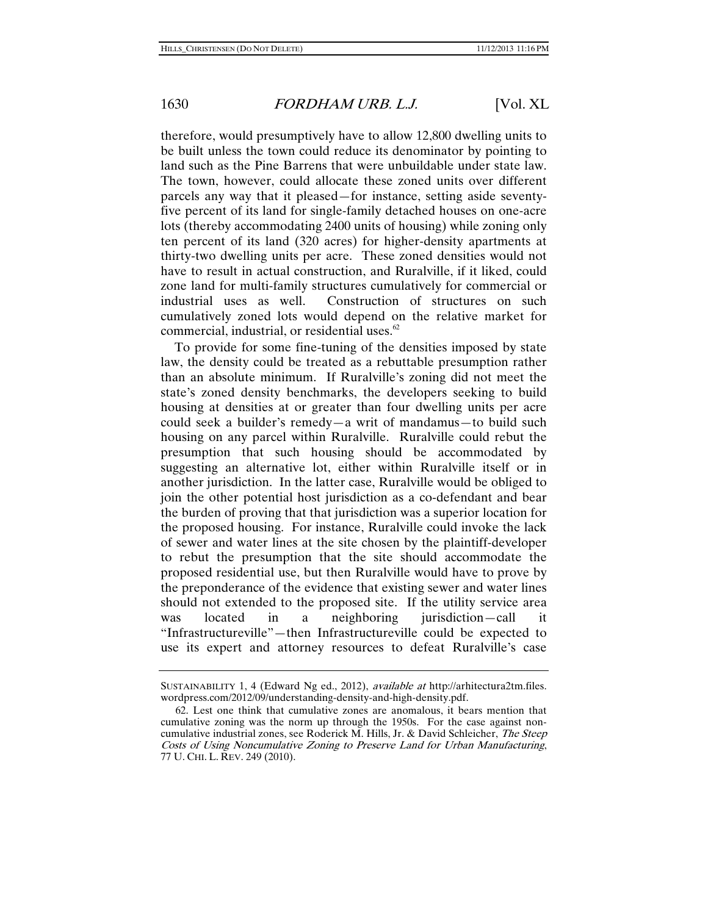therefore, would presumptively have to allow 12,800 dwelling units to be built unless the town could reduce its denominator by pointing to land such as the Pine Barrens that were unbuildable under state law. The town, however, could allocate these zoned units over different parcels any way that it pleased—for instance, setting aside seventyfive percent of its land for single-family detached houses on one-acre lots (thereby accommodating 2400 units of housing) while zoning only ten percent of its land (320 acres) for higher-density apartments at thirty-two dwelling units per acre. These zoned densities would not have to result in actual construction, and Ruralville, if it liked, could zone land for multi-family structures cumulatively for commercial or industrial uses as well. Construction of structures on such cumulatively zoned lots would depend on the relative market for commercial, industrial, or residential uses.<sup>62</sup>

To provide for some fine-tuning of the densities imposed by state law, the density could be treated as a rebuttable presumption rather than an absolute minimum. If Ruralville's zoning did not meet the state's zoned density benchmarks, the developers seeking to build housing at densities at or greater than four dwelling units per acre could seek a builder's remedy—a writ of mandamus—to build such housing on any parcel within Ruralville. Ruralville could rebut the presumption that such housing should be accommodated by suggesting an alternative lot, either within Ruralville itself or in another jurisdiction. In the latter case, Ruralville would be obliged to join the other potential host jurisdiction as a co-defendant and bear the burden of proving that that jurisdiction was a superior location for the proposed housing. For instance, Ruralville could invoke the lack of sewer and water lines at the site chosen by the plaintiff-developer to rebut the presumption that the site should accommodate the proposed residential use, but then Ruralville would have to prove by the preponderance of the evidence that existing sewer and water lines should not extended to the proposed site. If the utility service area was located in a neighboring jurisdiction—call it "Infrastructureville"—then Infrastructureville could be expected to use its expert and attorney resources to defeat Ruralville's case

SUSTAINABILITY 1, 4 (Edward Ng ed., 2012), available at http://arhitectura2tm.files. wordpress.com/2012/09/understanding-density-and-high-density.pdf.

 <sup>62.</sup> Lest one think that cumulative zones are anomalous, it bears mention that cumulative zoning was the norm up through the 1950s. For the case against noncumulative industrial zones, see Roderick M. Hills, Jr. & David Schleicher, The Steep Costs of Using Noncumulative Zoning to Preserve Land for Urban Manufacturing, 77 U. CHI. L. REV. 249 (2010).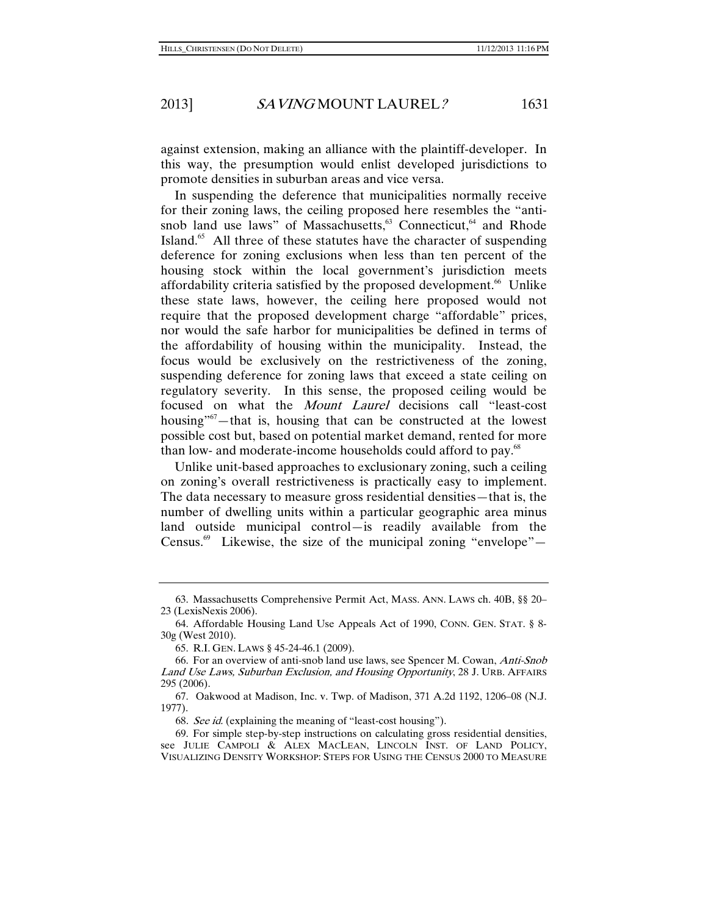against extension, making an alliance with the plaintiff-developer. In this way, the presumption would enlist developed jurisdictions to promote densities in suburban areas and vice versa.

In suspending the deference that municipalities normally receive for their zoning laws, the ceiling proposed here resembles the "antisnob land use laws" of Massachusetts,<sup>63</sup> Connecticut,<sup>64</sup> and Rhode Island.<sup>65</sup> All three of these statutes have the character of suspending deference for zoning exclusions when less than ten percent of the housing stock within the local government's jurisdiction meets affordability criteria satisfied by the proposed development.<sup>66</sup> Unlike these state laws, however, the ceiling here proposed would not require that the proposed development charge "affordable" prices, nor would the safe harbor for municipalities be defined in terms of the affordability of housing within the municipality. Instead, the focus would be exclusively on the restrictiveness of the zoning, suspending deference for zoning laws that exceed a state ceiling on regulatory severity. In this sense, the proposed ceiling would be focused on what the Mount Laurel decisions call "least-cost housing<sup> $n<sup>67</sup>$ —that is, housing that can be constructed at the lowest</sup> possible cost but, based on potential market demand, rented for more than low- and moderate-income households could afford to pay.<sup>68</sup>

Unlike unit-based approaches to exclusionary zoning, such a ceiling on zoning's overall restrictiveness is practically easy to implement. The data necessary to measure gross residential densities—that is, the number of dwelling units within a particular geographic area minus land outside municipal control—is readily available from the Census.<sup>69</sup> Likewise, the size of the municipal zoning "envelope"—

 <sup>63.</sup> Massachusetts Comprehensive Permit Act, MASS. ANN. LAWS ch. 40B, §§ 20– 23 (LexisNexis 2006).

 <sup>64.</sup> Affordable Housing Land Use Appeals Act of 1990, CONN. GEN. STAT. § 8- 30g (West 2010).

 <sup>65.</sup> R.I. GEN. LAWS § 45-24-46.1 (2009).

 <sup>66.</sup> For an overview of anti-snob land use laws, see Spencer M. Cowan, Anti-Snob Land Use Laws, Suburban Exclusion, and Housing Opportunity, 28 J. URB. AFFAIRS 295 (2006).

 <sup>67.</sup> Oakwood at Madison, Inc. v. Twp. of Madison, 371 A.2d 1192, 1206–08 (N.J. 1977).

<sup>68</sup>. See id. (explaining the meaning of "least-cost housing").

 <sup>69.</sup> For simple step-by-step instructions on calculating gross residential densities, see JULIE CAMPOLI & ALEX MACLEAN, LINCOLN INST. OF LAND POLICY, VISUALIZING DENSITY WORKSHOP: STEPS FOR USING THE CENSUS 2000 TO MEASURE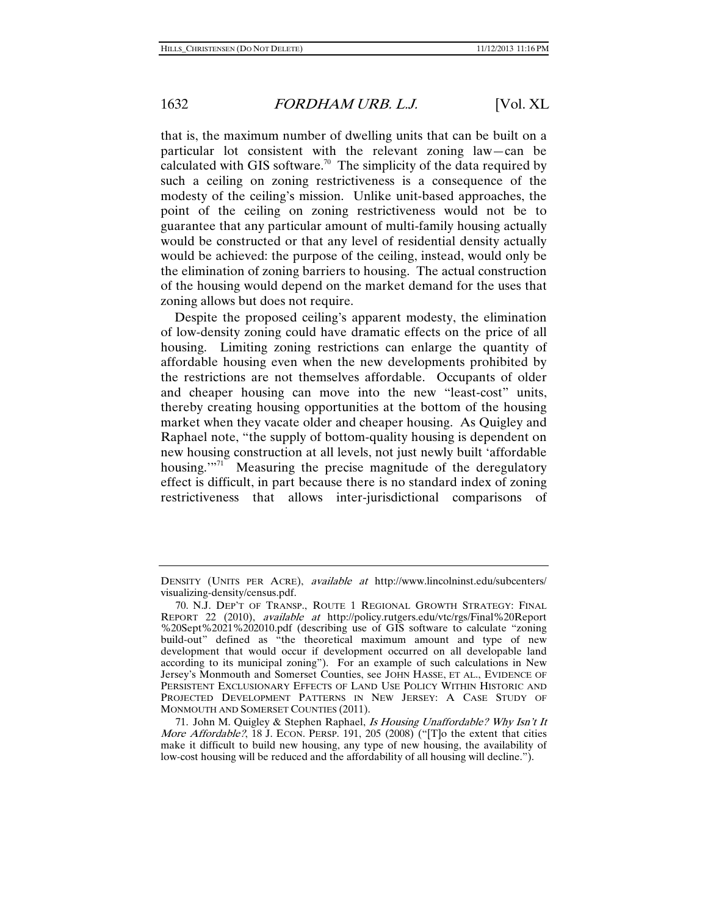that is, the maximum number of dwelling units that can be built on a particular lot consistent with the relevant zoning law—can be calculated with GIS software.<sup>70</sup> The simplicity of the data required by such a ceiling on zoning restrictiveness is a consequence of the modesty of the ceiling's mission. Unlike unit-based approaches, the point of the ceiling on zoning restrictiveness would not be to guarantee that any particular amount of multi-family housing actually would be constructed or that any level of residential density actually would be achieved: the purpose of the ceiling, instead, would only be the elimination of zoning barriers to housing. The actual construction of the housing would depend on the market demand for the uses that zoning allows but does not require.

Despite the proposed ceiling's apparent modesty, the elimination of low-density zoning could have dramatic effects on the price of all housing. Limiting zoning restrictions can enlarge the quantity of affordable housing even when the new developments prohibited by the restrictions are not themselves affordable. Occupants of older and cheaper housing can move into the new "least-cost" units, thereby creating housing opportunities at the bottom of the housing market when they vacate older and cheaper housing. As Quigley and Raphael note, "the supply of bottom-quality housing is dependent on new housing construction at all levels, not just newly built 'affordable housing."<sup>71</sup> Measuring the precise magnitude of the deregulatory effect is difficult, in part because there is no standard index of zoning restrictiveness that allows inter-jurisdictional comparisons of

DENSITY (UNITS PER ACRE), available at http://www.lincolninst.edu/subcenters/ visualizing-density/census.pdf.

 <sup>70.</sup> N.J. DEP'T OF TRANSP., ROUTE 1 REGIONAL GROWTH STRATEGY: FINAL REPORT 22 (2010), available at http://policy.rutgers.edu/vtc/rgs/Final%20Report %20Sept%2021%202010.pdf (describing use of GIS software to calculate "zoning build-out" defined as "the theoretical maximum amount and type of new development that would occur if development occurred on all developable land according to its municipal zoning"). For an example of such calculations in New Jersey's Monmouth and Somerset Counties, see JOHN HASSE, ET AL., EVIDENCE OF PERSISTENT EXCLUSIONARY EFFECTS OF LAND USE POLICY WITHIN HISTORIC AND PROJECTED DEVELOPMENT PATTERNS IN NEW JERSEY: A CASE STUDY OF MONMOUTH AND SOMERSET COUNTIES (2011).

<sup>71.</sup> John M. Quigley & Stephen Raphael, Is Housing Unaffordable? Why Isn't It *More Affordable?*, 18 J. ECON. PERSP. 191, 205  $(2008)$  ("[T]o the extent that cities make it difficult to build new housing, any type of new housing, the availability of low-cost housing will be reduced and the affordability of all housing will decline.").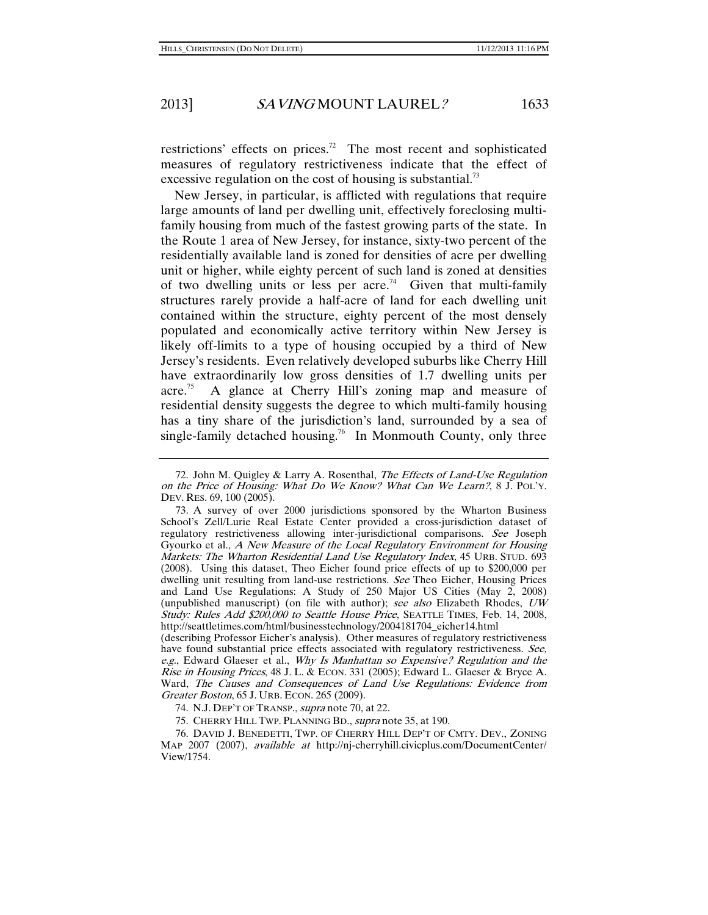restrictions' effects on prices.<sup>72</sup> The most recent and sophisticated measures of regulatory restrictiveness indicate that the effect of excessive regulation on the cost of housing is substantial.<sup>73</sup>

New Jersey, in particular, is afflicted with regulations that require large amounts of land per dwelling unit, effectively foreclosing multifamily housing from much of the fastest growing parts of the state. In the Route 1 area of New Jersey, for instance, sixty-two percent of the residentially available land is zoned for densities of acre per dwelling unit or higher, while eighty percent of such land is zoned at densities of two dwelling units or less per acre.<sup>74</sup> Given that multi-family structures rarely provide a half-acre of land for each dwelling unit contained within the structure, eighty percent of the most densely populated and economically active territory within New Jersey is likely off-limits to a type of housing occupied by a third of New Jersey's residents. Even relatively developed suburbs like Cherry Hill have extraordinarily low gross densities of 1.7 dwelling units per acre.<sup>75</sup> A glance at Cherry Hill's zoning map and measure of residential density suggests the degree to which multi-family housing has a tiny share of the jurisdiction's land, surrounded by a sea of single-family detached housing.<sup>76</sup> In Monmouth County, only three

(describing Professor Eicher's analysis). Other measures of regulatory restrictiveness have found substantial price effects associated with regulatory restrictiveness. See, e.g., Edward Glaeser et al., Why Is Manhattan so Expensive? Regulation and the Rise in Housing Prices, 48 J. L. & ECON. 331 (2005); Edward L. Glaeser & Bryce A. Ward, The Causes and Consequences of Land Use Regulations: Evidence from Greater Boston, 65 J. URB. ECON. 265 (2009).

74. N.J. DEP'T OF TRANSP., supra note 70, at 22.

75. CHERRY HILL TWP. PLANNING BD., supra note 35, at 190.

 76. DAVID J. BENEDETTI, TWP. OF CHERRY HILL DEP'T OF CMTY. DEV., ZONING MAP 2007 (2007), available at http://nj-cherryhill.civicplus.com/DocumentCenter/ View/1754.

<sup>72.</sup> John M. Quigley & Larry A. Rosenthal, The Effects of Land-Use Regulation on the Price of Housing: What Do We Know? What Can We Learn?, 8 J. POL'Y. DEV. RES. 69, 100 (2005).

 <sup>73.</sup> A survey of over 2000 jurisdictions sponsored by the Wharton Business School's Zell/Lurie Real Estate Center provided a cross-jurisdiction dataset of regulatory restrictiveness allowing inter-jurisdictional comparisons. See Joseph Gyourko et al., A New Measure of the Local Regulatory Environment for Housing Markets: The Wharton Residential Land Use Regulatory Index, 45 URB. STUD. 693 (2008). Using this dataset, Theo Eicher found price effects of up to \$200,000 per dwelling unit resulting from land-use restrictions. See Theo Eicher, Housing Prices and Land Use Regulations: A Study of 250 Major US Cities (May 2, 2008) (unpublished manuscript) (on file with author); see also Elizabeth Rhodes, UW Study: Rules Add \$200,000 to Seattle House Price, SEATTLE TIMES, Feb. 14, 2008, http://seattletimes.com/html/businesstechnology/2004181704\_eicher14.html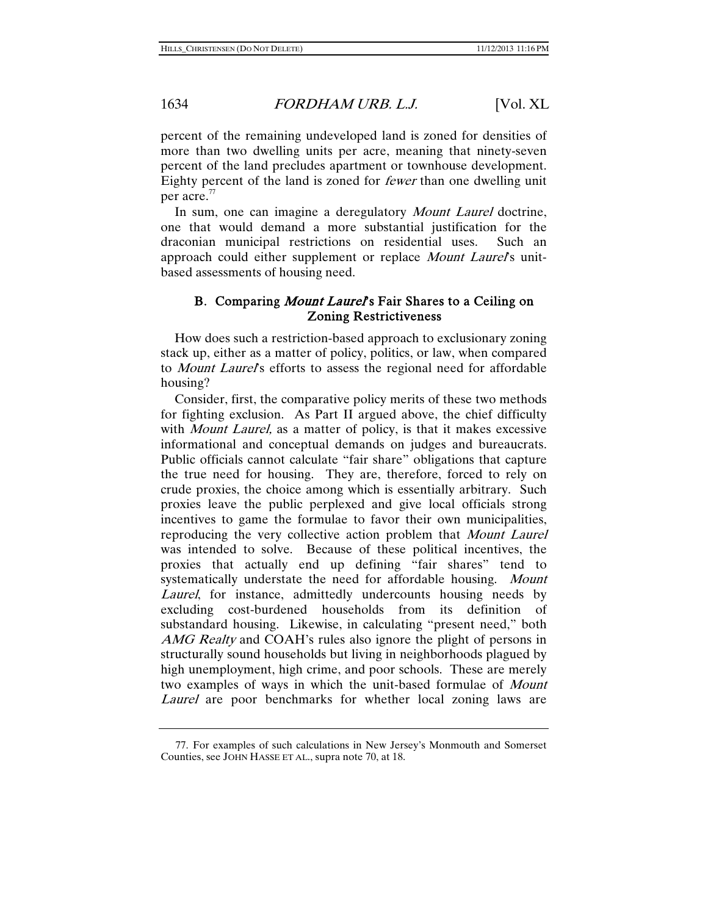percent of the remaining undeveloped land is zoned for densities of more than two dwelling units per acre, meaning that ninety-seven percent of the land precludes apartment or townhouse development. Eighty percent of the land is zoned for fewer than one dwelling unit per acre.<sup>77</sup>

In sum, one can imagine a deregulatory *Mount Laurel* doctrine, one that would demand a more substantial justification for the draconian municipal restrictions on residential uses. Such an approach could either supplement or replace Mount Laurel's unitbased assessments of housing need.

#### B. Comparing Mount Laurel's Fair Shares to a Ceiling on Zoning Restrictiveness

How does such a restriction-based approach to exclusionary zoning stack up, either as a matter of policy, politics, or law, when compared to *Mount Laurel's* efforts to assess the regional need for affordable housing?

Consider, first, the comparative policy merits of these two methods for fighting exclusion. As Part II argued above, the chief difficulty with *Mount Laurel*, as a matter of policy, is that it makes excessive informational and conceptual demands on judges and bureaucrats. Public officials cannot calculate "fair share" obligations that capture the true need for housing. They are, therefore, forced to rely on crude proxies, the choice among which is essentially arbitrary. Such proxies leave the public perplexed and give local officials strong incentives to game the formulae to favor their own municipalities, reproducing the very collective action problem that Mount Laurel was intended to solve. Because of these political incentives, the proxies that actually end up defining "fair shares" tend to systematically understate the need for affordable housing. Mount Laurel, for instance, admittedly undercounts housing needs by excluding cost-burdened households from its definition of substandard housing. Likewise, in calculating "present need," both AMG Realty and COAH's rules also ignore the plight of persons in structurally sound households but living in neighborhoods plagued by high unemployment, high crime, and poor schools. These are merely two examples of ways in which the unit-based formulae of Mount Laurel are poor benchmarks for whether local zoning laws are

 <sup>77.</sup> For examples of such calculations in New Jersey's Monmouth and Somerset Counties, see JOHN HASSE ET AL., supra note 70, at 18.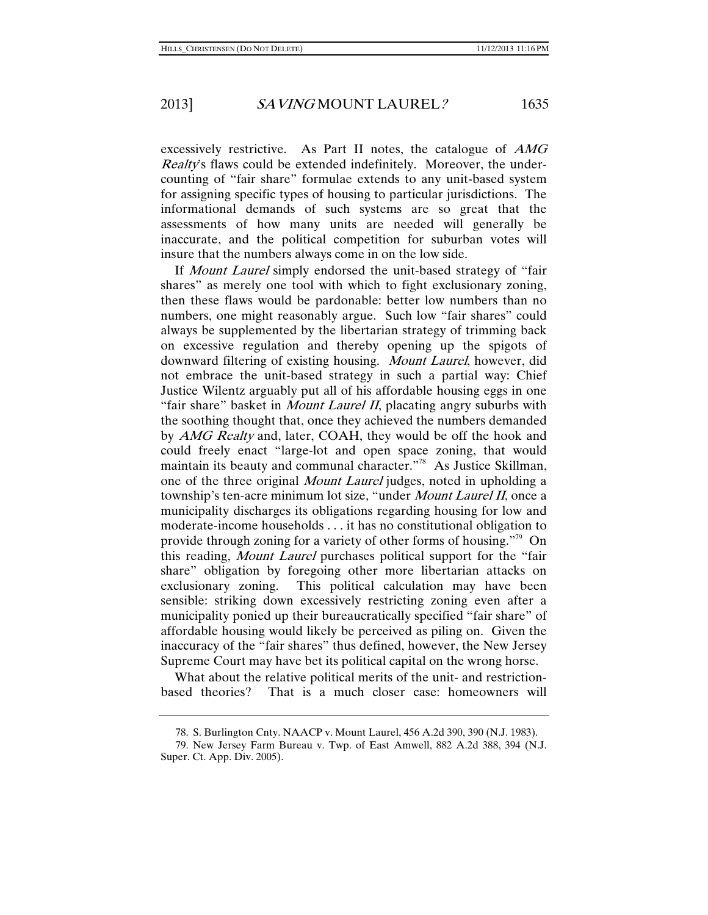excessively restrictive. As Part II notes, the catalogue of AMG Realty's flaws could be extended indefinitely. Moreover, the undercounting of "fair share" formulae extends to any unit-based system for assigning specific types of housing to particular jurisdictions. The informational demands of such systems are so great that the assessments of how many units are needed will generally be inaccurate, and the political competition for suburban votes will insure that the numbers always come in on the low side.

If Mount Laurel simply endorsed the unit-based strategy of "fair shares" as merely one tool with which to fight exclusionary zoning, then these flaws would be pardonable: better low numbers than no numbers, one might reasonably argue. Such low "fair shares" could always be supplemented by the libertarian strategy of trimming back on excessive regulation and thereby opening up the spigots of downward filtering of existing housing. Mount Laurel, however, did not embrace the unit-based strategy in such a partial way: Chief Justice Wilentz arguably put all of his affordable housing eggs in one "fair share" basket in *Mount Laurel II*, placating angry suburbs with the soothing thought that, once they achieved the numbers demanded by *AMG Realty* and, later, COAH, they would be off the hook and could freely enact "large-lot and open space zoning, that would maintain its beauty and communal character."<sup>78</sup> As Justice Skillman, one of the three original Mount Laurel judges, noted in upholding a township's ten-acre minimum lot size, "under Mount Laurel II, once a municipality discharges its obligations regarding housing for low and moderate-income households . . . it has no constitutional obligation to provide through zoning for a variety of other forms of housing."79 On this reading, Mount Laurel purchases political support for the "fair share" obligation by foregoing other more libertarian attacks on exclusionary zoning. This political calculation may have been sensible: striking down excessively restricting zoning even after a municipality ponied up their bureaucratically specified "fair share" of affordable housing would likely be perceived as piling on. Given the inaccuracy of the "fair shares" thus defined, however, the New Jersey Supreme Court may have bet its political capital on the wrong horse.

What about the relative political merits of the unit- and restrictionbased theories? That is a much closer case: homeowners will

 <sup>78.</sup> S. Burlington Cnty. NAACP v. Mount Laurel, 456 A.2d 390, 390 (N.J. 1983).

 <sup>79.</sup> New Jersey Farm Bureau v. Twp. of East Amwell, 882 A.2d 388, 394 (N.J. Super. Ct. App. Div. 2005).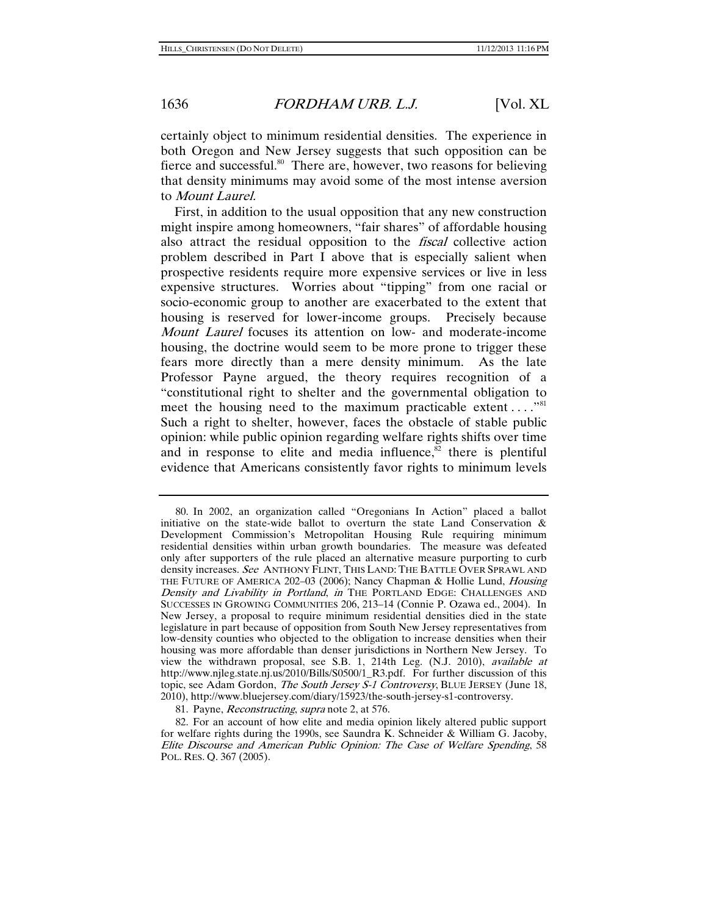certainly object to minimum residential densities. The experience in both Oregon and New Jersey suggests that such opposition can be fierce and successful. $80$  There are, however, two reasons for believing that density minimums may avoid some of the most intense aversion to Mount Laurel.

First, in addition to the usual opposition that any new construction might inspire among homeowners, "fair shares" of affordable housing also attract the residual opposition to the *fiscal* collective action problem described in Part I above that is especially salient when prospective residents require more expensive services or live in less expensive structures. Worries about "tipping" from one racial or socio-economic group to another are exacerbated to the extent that housing is reserved for lower-income groups. Precisely because Mount Laurel focuses its attention on low- and moderate-income housing, the doctrine would seem to be more prone to trigger these fears more directly than a mere density minimum. As the late Professor Payne argued, the theory requires recognition of a "constitutional right to shelter and the governmental obligation to meet the housing need to the maximum practicable extent  $\dots$ ."<sup>81</sup> Such a right to shelter, however, faces the obstacle of stable public opinion: while public opinion regarding welfare rights shifts over time and in response to elite and media influence, $82$  there is plentiful evidence that Americans consistently favor rights to minimum levels

81. Payne, Reconstructing, supra note 2, at 576.

 82. For an account of how elite and media opinion likely altered public support for welfare rights during the 1990s, see Saundra K. Schneider & William G. Jacoby, Elite Discourse and American Public Opinion: The Case of Welfare Spending, 58 POL. RES. Q. 367 (2005).

 <sup>80.</sup> In 2002, an organization called "Oregonians In Action" placed a ballot initiative on the state-wide ballot to overturn the state Land Conservation  $\&$ Development Commission's Metropolitan Housing Rule requiring minimum residential densities within urban growth boundaries. The measure was defeated only after supporters of the rule placed an alternative measure purporting to curb density increases. See ANTHONY FLINT, THIS LAND: THE BATTLE OVER SPRAWL AND THE FUTURE OF AMERICA 202-03 (2006); Nancy Chapman & Hollie Lund, *Housing* Density and Livability in Portland, in THE PORTLAND EDGE: CHALLENGES AND SUCCESSES IN GROWING COMMUNITIES 206, 213–14 (Connie P. Ozawa ed., 2004). In New Jersey, a proposal to require minimum residential densities died in the state legislature in part because of opposition from South New Jersey representatives from low-density counties who objected to the obligation to increase densities when their housing was more affordable than denser jurisdictions in Northern New Jersey. To view the withdrawn proposal, see S.B. 1, 214th Leg. (N.J. 2010), available at http://www.njleg.state.nj.us/2010/Bills/S0500/1\_R3.pdf. For further discussion of this topic, see Adam Gordon, The South Jersey S-1 Controversy, BLUE JERSEY (June 18, 2010), http://www.bluejersey.com/diary/15923/the-south-jersey-s1-controversy.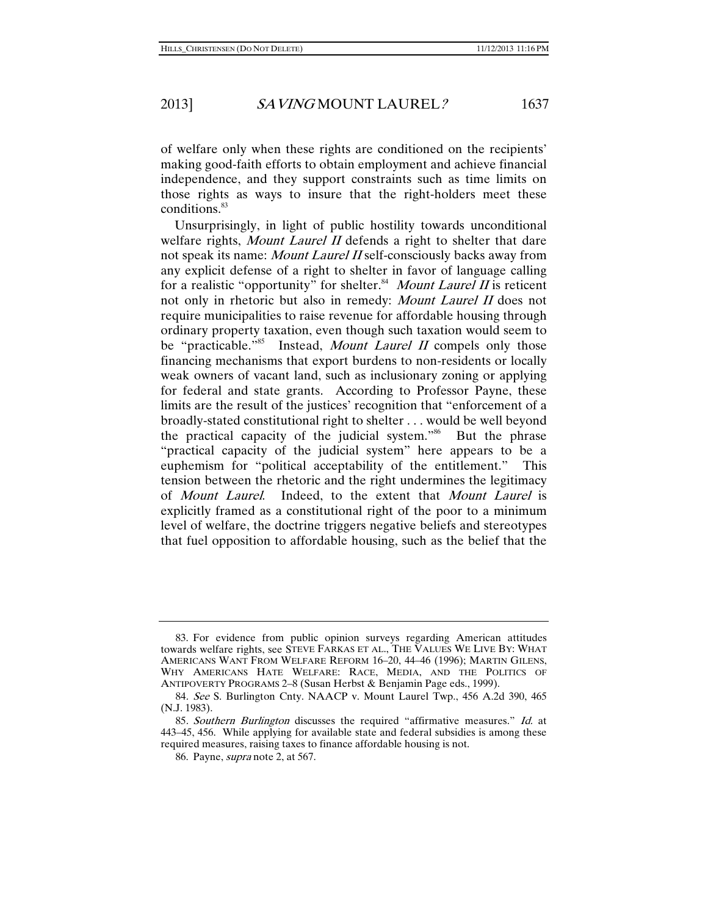of welfare only when these rights are conditioned on the recipients' making good-faith efforts to obtain employment and achieve financial independence, and they support constraints such as time limits on those rights as ways to insure that the right-holders meet these conditions.<sup>83</sup>

Unsurprisingly, in light of public hostility towards unconditional welfare rights, Mount Laurel II defends a right to shelter that dare not speak its name: Mount Laurel II self-consciously backs away from any explicit defense of a right to shelter in favor of language calling for a realistic "opportunity" for shelter.<sup>84</sup> Mount Laurel II is reticent not only in rhetoric but also in remedy: Mount Laurel II does not require municipalities to raise revenue for affordable housing through ordinary property taxation, even though such taxation would seem to be "practicable."<sup>85</sup> Instead, *Mount Laurel II* compels only those financing mechanisms that export burdens to non-residents or locally weak owners of vacant land, such as inclusionary zoning or applying for federal and state grants. According to Professor Payne, these limits are the result of the justices' recognition that "enforcement of a broadly-stated constitutional right to shelter . . . would be well beyond the practical capacity of the judicial system."86 But the phrase "practical capacity of the judicial system" here appears to be a euphemism for "political acceptability of the entitlement." This tension between the rhetoric and the right undermines the legitimacy of Mount Laurel. Indeed, to the extent that Mount Laurel is explicitly framed as a constitutional right of the poor to a minimum level of welfare, the doctrine triggers negative beliefs and stereotypes that fuel opposition to affordable housing, such as the belief that the

 <sup>83.</sup> For evidence from public opinion surveys regarding American attitudes towards welfare rights, see STEVE FARKAS ET AL., THE VALUES WE LIVE BY: WHAT AMERICANS WANT FROM WELFARE REFORM 16–20, 44–46 (1996); MARTIN GILENS, WHY AMERICANS HATE WELFARE: RACE, MEDIA, AND THE POLITICS OF ANTIPOVERTY PROGRAMS 2–8 (Susan Herbst & Benjamin Page eds., 1999).

<sup>84</sup>. See S. Burlington Cnty. NAACP v. Mount Laurel Twp., 456 A.2d 390, 465 (N.J. 1983).

<sup>85</sup>. Southern Burlington discusses the required "affirmative measures." Id. at 443–45, 456. While applying for available state and federal subsidies is among these required measures, raising taxes to finance affordable housing is not.

 <sup>86.</sup> Payne, supra note 2, at 567.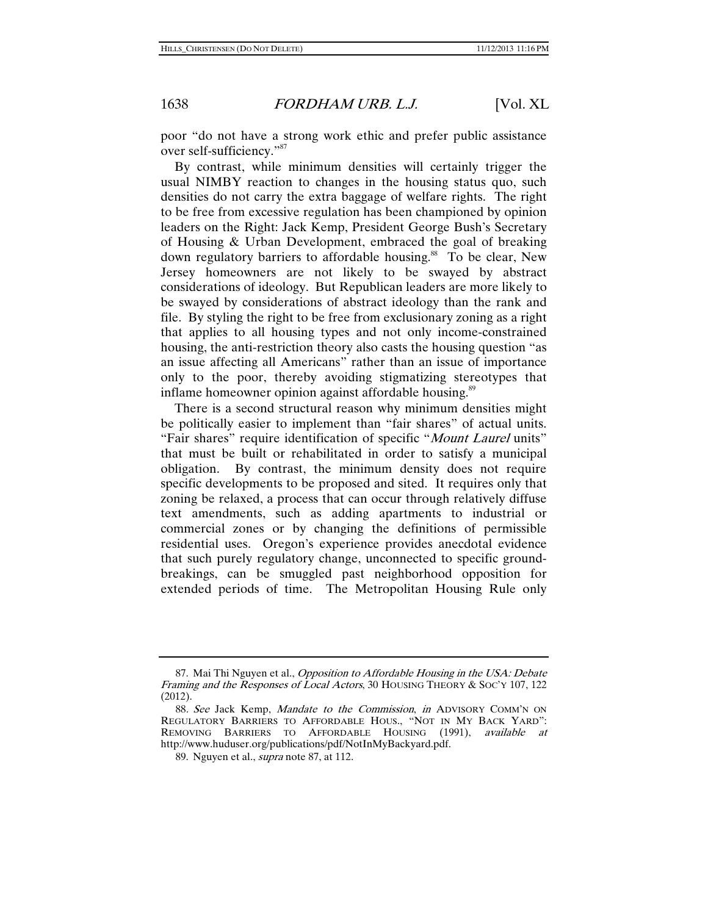poor "do not have a strong work ethic and prefer public assistance over self-sufficiency."<sup>87</sup>

By contrast, while minimum densities will certainly trigger the usual NIMBY reaction to changes in the housing status quo, such densities do not carry the extra baggage of welfare rights. The right to be free from excessive regulation has been championed by opinion leaders on the Right: Jack Kemp, President George Bush's Secretary of Housing & Urban Development, embraced the goal of breaking down regulatory barriers to affordable housing.<sup>88</sup> To be clear, New Jersey homeowners are not likely to be swayed by abstract considerations of ideology. But Republican leaders are more likely to be swayed by considerations of abstract ideology than the rank and file. By styling the right to be free from exclusionary zoning as a right that applies to all housing types and not only income-constrained housing, the anti-restriction theory also casts the housing question "as an issue affecting all Americans" rather than an issue of importance only to the poor, thereby avoiding stigmatizing stereotypes that inflame homeowner opinion against affordable housing.<sup>89</sup>

There is a second structural reason why minimum densities might be politically easier to implement than "fair shares" of actual units. "Fair shares" require identification of specific "Mount Laurel units" that must be built or rehabilitated in order to satisfy a municipal obligation. By contrast, the minimum density does not require specific developments to be proposed and sited. It requires only that zoning be relaxed, a process that can occur through relatively diffuse text amendments, such as adding apartments to industrial or commercial zones or by changing the definitions of permissible residential uses. Oregon's experience provides anecdotal evidence that such purely regulatory change, unconnected to specific groundbreakings, can be smuggled past neighborhood opposition for extended periods of time. The Metropolitan Housing Rule only

 <sup>87.</sup> Mai Thi Nguyen et al., Opposition to Affordable Housing in the USA: Debate Framing and the Responses of Local Actors, 30 HOUSING THEORY & SOC'Y 107, 122 (2012).

<sup>88.</sup> See Jack Kemp, Mandate to the Commission, in ADVISORY COMM'N ON REGULATORY BARRIERS TO AFFORDABLE HOUS., "NOT IN MY BACK YARD": REMOVING BARRIERS TO AFFORDABLE HOUSING (1991), available at http://www.huduser.org/publications/pdf/NotInMyBackyard.pdf.

 <sup>89.</sup> Nguyen et al., supra note 87, at 112.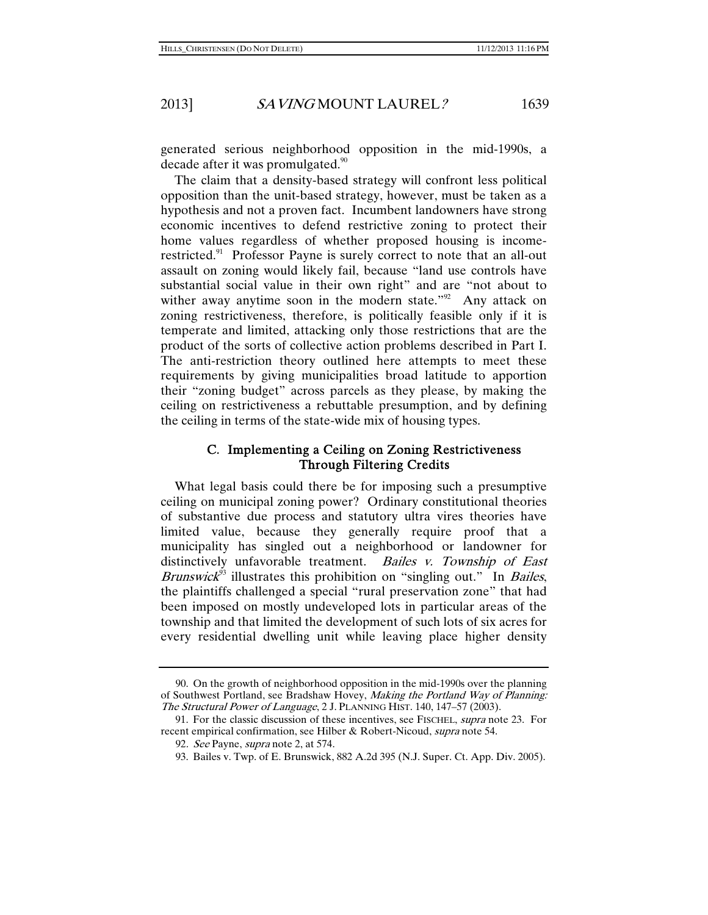generated serious neighborhood opposition in the mid-1990s, a decade after it was promulgated.<sup>90</sup>

The claim that a density-based strategy will confront less political opposition than the unit-based strategy, however, must be taken as a hypothesis and not a proven fact. Incumbent landowners have strong economic incentives to defend restrictive zoning to protect their home values regardless of whether proposed housing is incomerestricted.<sup>91</sup> Professor Payne is surely correct to note that an all-out assault on zoning would likely fail, because "land use controls have substantial social value in their own right" and are "not about to wither away anytime soon in the modern state." $92$  Any attack on zoning restrictiveness, therefore, is politically feasible only if it is temperate and limited, attacking only those restrictions that are the product of the sorts of collective action problems described in Part I. The anti-restriction theory outlined here attempts to meet these requirements by giving municipalities broad latitude to apportion their "zoning budget" across parcels as they please, by making the ceiling on restrictiveness a rebuttable presumption, and by defining the ceiling in terms of the state-wide mix of housing types.

#### C. Implementing a Ceiling on Zoning Restrictiveness Through Filtering Credits

What legal basis could there be for imposing such a presumptive ceiling on municipal zoning power? Ordinary constitutional theories of substantive due process and statutory ultra vires theories have limited value, because they generally require proof that a municipality has singled out a neighborhood or landowner for distinctively unfavorable treatment. Bailes v. Township of East *Brunswick*<sup>93</sup> illustrates this prohibition on "singling out." In *Bailes*, the plaintiffs challenged a special "rural preservation zone" that had been imposed on mostly undeveloped lots in particular areas of the township and that limited the development of such lots of six acres for every residential dwelling unit while leaving place higher density

 <sup>90.</sup> On the growth of neighborhood opposition in the mid-1990s over the planning of Southwest Portland, see Bradshaw Hovey, Making the Portland Way of Planning: The Structural Power of Language, 2 J. PLANNING HIST. 140, 147–57 (2003).

<sup>91.</sup> For the classic discussion of these incentives, see FISCHEL, *supra* note 23. For recent empirical confirmation, see Hilber & Robert-Nicoud, supra note 54.

<sup>92.</sup> See Payne, *supra* note 2, at 574.

 <sup>93.</sup> Bailes v. Twp. of E. Brunswick, 882 A.2d 395 (N.J. Super. Ct. App. Div. 2005).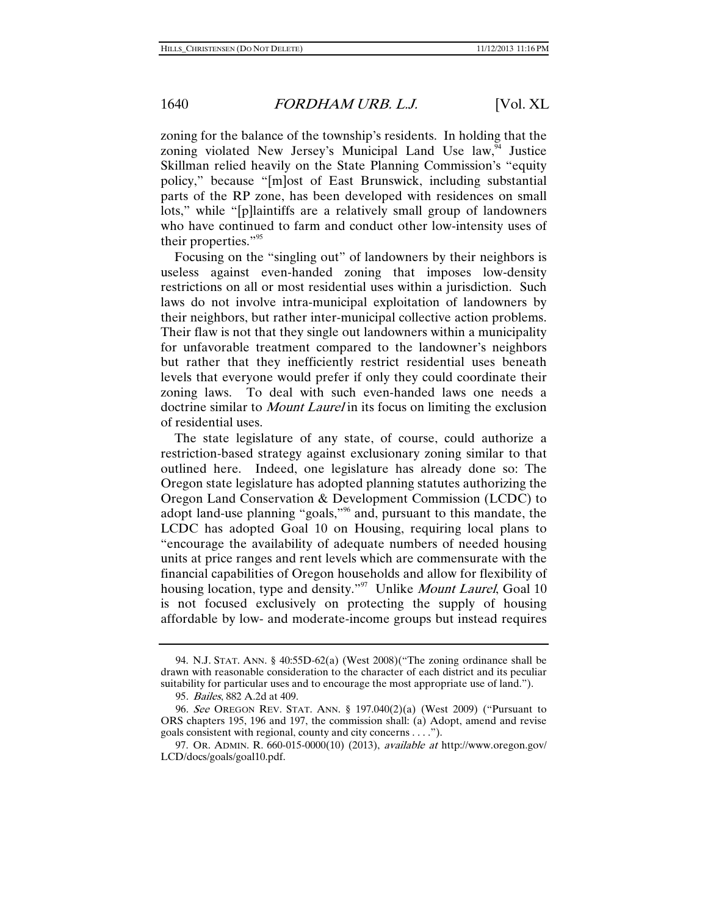zoning for the balance of the township's residents. In holding that the zoning violated New Jersey's Municipal Land Use  $law<sub>1</sub><sup>94</sup>$  Justice Skillman relied heavily on the State Planning Commission's "equity policy," because "[m]ost of East Brunswick, including substantial parts of the RP zone, has been developed with residences on small lots," while "[p]laintiffs are a relatively small group of landowners who have continued to farm and conduct other low-intensity uses of their properties."95

Focusing on the "singling out" of landowners by their neighbors is useless against even-handed zoning that imposes low-density restrictions on all or most residential uses within a jurisdiction. Such laws do not involve intra-municipal exploitation of landowners by their neighbors, but rather inter-municipal collective action problems. Their flaw is not that they single out landowners within a municipality for unfavorable treatment compared to the landowner's neighbors but rather that they inefficiently restrict residential uses beneath levels that everyone would prefer if only they could coordinate their zoning laws. To deal with such even-handed laws one needs a doctrine similar to *Mount Laurel* in its focus on limiting the exclusion of residential uses.

The state legislature of any state, of course, could authorize a restriction-based strategy against exclusionary zoning similar to that outlined here. Indeed, one legislature has already done so: The Oregon state legislature has adopted planning statutes authorizing the Oregon Land Conservation & Development Commission (LCDC) to adopt land-use planning "goals,"96 and, pursuant to this mandate, the LCDC has adopted Goal 10 on Housing, requiring local plans to "encourage the availability of adequate numbers of needed housing units at price ranges and rent levels which are commensurate with the financial capabilities of Oregon households and allow for flexibility of housing location, type and density."<sup>97</sup> Unlike *Mount Laurel*, Goal 10 is not focused exclusively on protecting the supply of housing affordable by low- and moderate-income groups but instead requires

 <sup>94.</sup> N.J. STAT. ANN. § 40:55D-62(a) (West 2008)("The zoning ordinance shall be drawn with reasonable consideration to the character of each district and its peculiar suitability for particular uses and to encourage the most appropriate use of land.").

<sup>95</sup>. Bailes, 882 A.2d at 409.

<sup>96</sup>. See OREGON REV. STAT. ANN. § 197.040(2)(a) (West 2009) ("Pursuant to ORS chapters 195, 196 and 197, the commission shall: (a) Adopt, amend and revise goals consistent with regional, county and city concerns . . . .").

 <sup>97.</sup> OR. ADMIN. R. 660-015-0000(10) (2013), available at http://www.oregon.gov/ LCD/docs/goals/goal10.pdf.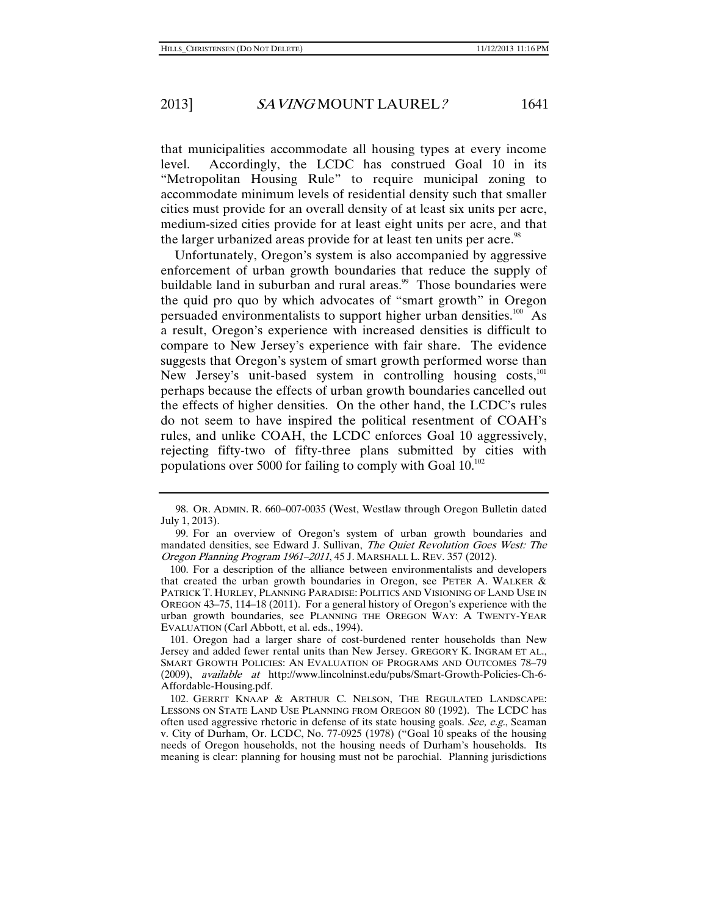that municipalities accommodate all housing types at every income level. Accordingly, the LCDC has construed Goal 10 in its "Metropolitan Housing Rule" to require municipal zoning to accommodate minimum levels of residential density such that smaller cities must provide for an overall density of at least six units per acre, medium-sized cities provide for at least eight units per acre, and that the larger urbanized areas provide for at least ten units per acre.<sup>98</sup>

Unfortunately, Oregon's system is also accompanied by aggressive enforcement of urban growth boundaries that reduce the supply of buildable land in suburban and rural areas.<sup>99</sup> Those boundaries were the quid pro quo by which advocates of "smart growth" in Oregon persuaded environmentalists to support higher urban densities.<sup>100</sup> As a result, Oregon's experience with increased densities is difficult to compare to New Jersey's experience with fair share. The evidence suggests that Oregon's system of smart growth performed worse than New Jersey's unit-based system in controlling housing  $costs$ ,<sup>101</sup>, perhaps because the effects of urban growth boundaries cancelled out the effects of higher densities. On the other hand, the LCDC's rules do not seem to have inspired the political resentment of COAH's rules, and unlike COAH, the LCDC enforces Goal 10 aggressively, rejecting fifty-two of fifty-three plans submitted by cities with populations over 5000 for failing to comply with Goal  $10^{102}$ 

 100. For a description of the alliance between environmentalists and developers that created the urban growth boundaries in Oregon, see PETER A. WALKER & PATRICK T. HURLEY, PLANNING PARADISE: POLITICS AND VISIONING OF LAND USE IN OREGON 43–75, 114–18 (2011). For a general history of Oregon's experience with the urban growth boundaries, see PLANNING THE OREGON WAY: A TWENTY-YEAR EVALUATION (Carl Abbott, et al. eds., 1994).

 101. Oregon had a larger share of cost-burdened renter households than New Jersey and added fewer rental units than New Jersey. GREGORY K. INGRAM ET AL., SMART GROWTH POLICIES: AN EVALUATION OF PROGRAMS AND OUTCOMES 78–79 (2009), available at http://www.lincolninst.edu/pubs/Smart-Growth-Policies-Ch-6- Affordable-Housing.pdf.

 <sup>98.</sup> OR. ADMIN. R. 660–007-0035 (West, Westlaw through Oregon Bulletin dated July 1, 2013).

 <sup>99.</sup> For an overview of Oregon's system of urban growth boundaries and mandated densities, see Edward J. Sullivan, The Quiet Revolution Goes West: The Oregon Planning Program 1961–2011, 45 J. MARSHALL L. REV. 357 (2012).

 <sup>102.</sup> GERRIT KNAAP & ARTHUR C. NELSON, THE REGULATED LANDSCAPE: LESSONS ON STATE LAND USE PLANNING FROM OREGON 80 (1992). The LCDC has often used aggressive rhetoric in defense of its state housing goals. See, e.g., Seaman v. City of Durham, Or. LCDC, No. 77-0925 (1978) ("Goal 10 speaks of the housing needs of Oregon households, not the housing needs of Durham's households. Its meaning is clear: planning for housing must not be parochial. Planning jurisdictions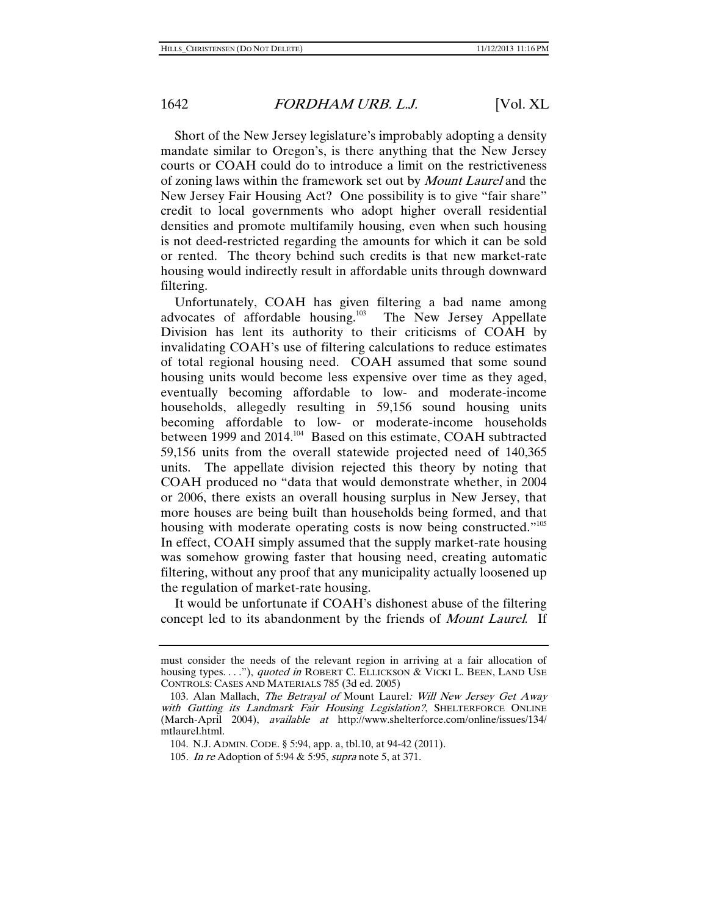Short of the New Jersey legislature's improbably adopting a density mandate similar to Oregon's, is there anything that the New Jersey courts or COAH could do to introduce a limit on the restrictiveness of zoning laws within the framework set out by Mount Laurel and the New Jersey Fair Housing Act? One possibility is to give "fair share" credit to local governments who adopt higher overall residential densities and promote multifamily housing, even when such housing is not deed-restricted regarding the amounts for which it can be sold or rented. The theory behind such credits is that new market-rate housing would indirectly result in affordable units through downward filtering.

Unfortunately, COAH has given filtering a bad name among advocates of affordable housing.<sup>103</sup> The New Jersey Appellate Division has lent its authority to their criticisms of COAH by invalidating COAH's use of filtering calculations to reduce estimates of total regional housing need. COAH assumed that some sound housing units would become less expensive over time as they aged, eventually becoming affordable to low- and moderate-income households, allegedly resulting in 59,156 sound housing units becoming affordable to low- or moderate-income households between 1999 and 2014.<sup>104</sup> Based on this estimate, COAH subtracted 59,156 units from the overall statewide projected need of 140,365 units. The appellate division rejected this theory by noting that COAH produced no "data that would demonstrate whether, in 2004 or 2006, there exists an overall housing surplus in New Jersey, that more houses are being built than households being formed, and that housing with moderate operating costs is now being constructed."<sup>105</sup> In effect, COAH simply assumed that the supply market-rate housing was somehow growing faster that housing need, creating automatic filtering, without any proof that any municipality actually loosened up the regulation of market-rate housing.

It would be unfortunate if COAH's dishonest abuse of the filtering concept led to its abandonment by the friends of Mount Laurel. If

must consider the needs of the relevant region in arriving at a fair allocation of housing types. . . ."), quoted in ROBERT C. ELLICKSON & VICKI L. BEEN, LAND USE CONTROLS: CASES AND MATERIALS 785 (3d ed. 2005)

<sup>103.</sup> Alan Mallach, The Betrayal of Mount Laurel: Will New Jersey Get Away with Gutting its Landmark Fair Housing Legislation?, SHELTERFORCE ONLINE (March-April 2004), available at http://www.shelterforce.com/online/issues/134/ mtlaurel.html.

 <sup>104.</sup> N.J. ADMIN. CODE. § 5:94, app. a, tbl.10, at 94-42 (2011).

<sup>105</sup>. In re Adoption of 5:94 & 5:95, supra note 5, at 371.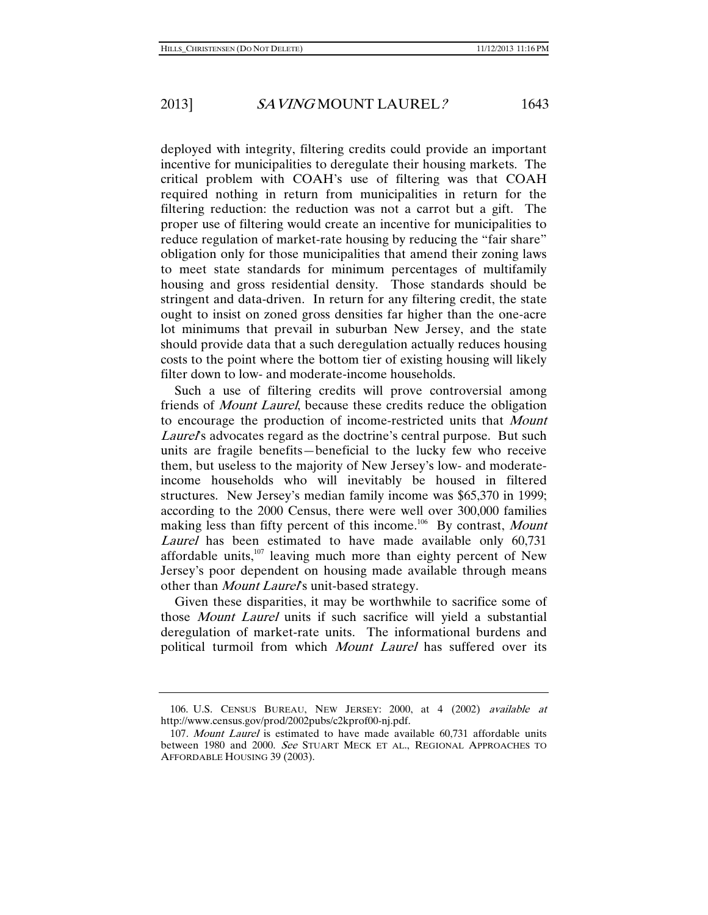deployed with integrity, filtering credits could provide an important incentive for municipalities to deregulate their housing markets. The critical problem with COAH's use of filtering was that COAH required nothing in return from municipalities in return for the filtering reduction: the reduction was not a carrot but a gift. The proper use of filtering would create an incentive for municipalities to reduce regulation of market-rate housing by reducing the "fair share" obligation only for those municipalities that amend their zoning laws to meet state standards for minimum percentages of multifamily housing and gross residential density. Those standards should be stringent and data-driven. In return for any filtering credit, the state ought to insist on zoned gross densities far higher than the one-acre lot minimums that prevail in suburban New Jersey, and the state should provide data that a such deregulation actually reduces housing costs to the point where the bottom tier of existing housing will likely filter down to low- and moderate-income households.

Such a use of filtering credits will prove controversial among friends of Mount Laurel, because these credits reduce the obligation to encourage the production of income-restricted units that Mount Laurel's advocates regard as the doctrine's central purpose. But such units are fragile benefits—beneficial to the lucky few who receive them, but useless to the majority of New Jersey's low- and moderateincome households who will inevitably be housed in filtered structures. New Jersey's median family income was \$65,370 in 1999; according to the 2000 Census, there were well over 300,000 families making less than fifty percent of this income.<sup>106</sup> By contrast, Mount Laurel has been estimated to have made available only 60,731 affordable units, $107$  leaving much more than eighty percent of New Jersey's poor dependent on housing made available through means other than *Mount Laurel's* unit-based strategy.

Given these disparities, it may be worthwhile to sacrifice some of those Mount Laurel units if such sacrifice will yield a substantial deregulation of market-rate units. The informational burdens and political turmoil from which Mount Laurel has suffered over its

 <sup>106.</sup> U.S. CENSUS BUREAU, NEW JERSEY: 2000, at 4 (2002) available at http://www.census.gov/prod/2002pubs/c2kprof00-nj.pdf.

<sup>107</sup>. Mount Laurel is estimated to have made available 60,731 affordable units between 1980 and 2000. See STUART MECK ET AL., REGIONAL APPROACHES TO AFFORDABLE HOUSING 39 (2003).